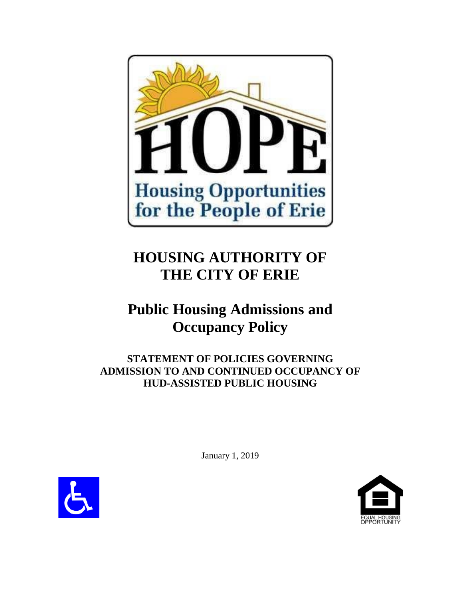

# **HOUSING AUTHORITY OF THE CITY OF ERIE**

# **Public Housing Admissions and Occupancy Policy**

**STATEMENT OF POLICIES GOVERNING ADMISSION TO AND CONTINUED OCCUPANCY OF HUD-ASSISTED PUBLIC HOUSING** 



January 1, 2019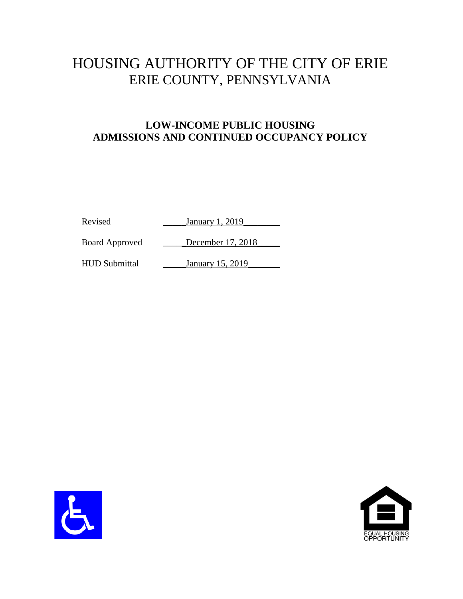# HOUSING AUTHORITY OF THE CITY OF ERIE ERIE COUNTY, PENNSYLVANIA

# **LOW-INCOME PUBLIC HOUSING ADMISSIONS AND CONTINUED OCCUPANCY POLICY**

Revised January 1, 2019

Board Approved December 17, 2018

HUD Submittal January 15, 2019



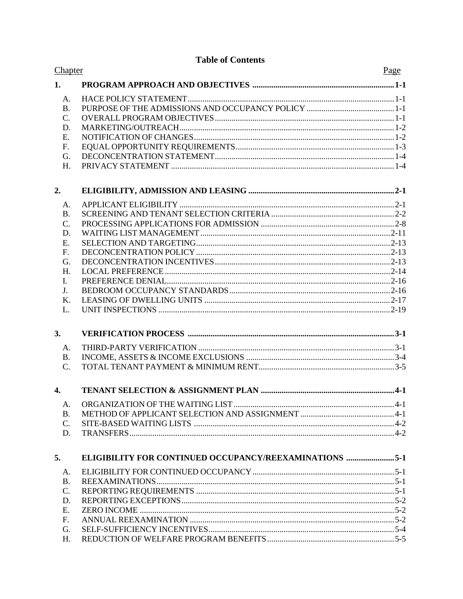### **Table of Contents**

| Chapter          |                                                               | Page |
|------------------|---------------------------------------------------------------|------|
| 1.               |                                                               |      |
| A.               |                                                               |      |
| <b>B.</b>        |                                                               |      |
| C.               |                                                               |      |
| D.               |                                                               |      |
| E.               |                                                               |      |
| F.               |                                                               |      |
| G.               |                                                               |      |
| H.               |                                                               |      |
| 2.               |                                                               |      |
| A.               |                                                               |      |
| <b>B.</b>        |                                                               |      |
| C.               |                                                               |      |
| D.               |                                                               |      |
| E.               |                                                               |      |
| $F_{\cdot}$      |                                                               |      |
| G.               |                                                               |      |
| H.               |                                                               |      |
| I.               |                                                               |      |
| J.               |                                                               |      |
| K.               |                                                               |      |
| L.               |                                                               |      |
| 3.               |                                                               |      |
| A.               |                                                               |      |
| <b>B.</b>        |                                                               |      |
| $\mathcal{C}$ .  |                                                               |      |
| $\overline{4}$ . |                                                               |      |
| A.               |                                                               |      |
| <b>B.</b>        |                                                               |      |
| C.               |                                                               |      |
| D.               |                                                               |      |
| 5.               | <b>ELIGIBILITY FOR CONTINUED OCCUPANCY/REEXAMINATIONS 5-1</b> |      |
| A.               |                                                               |      |
| <b>B.</b>        |                                                               |      |
| C.               |                                                               |      |
| D.               |                                                               |      |
| Ε.               |                                                               |      |
| F.               |                                                               |      |
| G.               |                                                               |      |
| H.               |                                                               |      |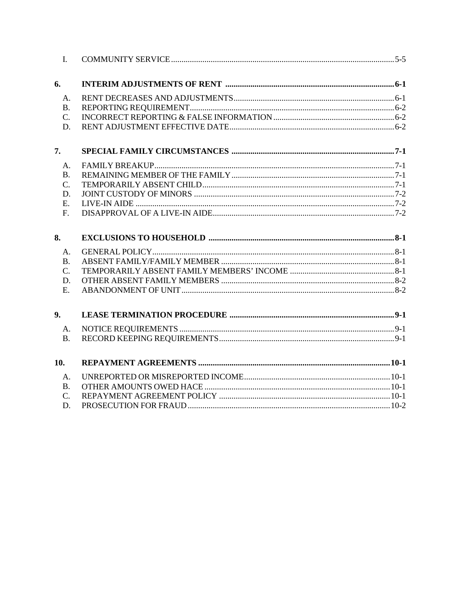| $\mathbf{I}$ .       |  |
|----------------------|--|
| 6.                   |  |
| A.                   |  |
| B.                   |  |
| $\mathcal{C}$ .      |  |
| D.                   |  |
| 7.                   |  |
| A.                   |  |
| <b>B.</b>            |  |
| $\mathcal{C}$ .      |  |
| D.                   |  |
| E.                   |  |
| F <sub>r</sub>       |  |
| 8.                   |  |
| A.                   |  |
| B.                   |  |
| $\mathcal{C}$ .      |  |
|                      |  |
| D.                   |  |
| $E_{\cdot}$          |  |
| 9.                   |  |
|                      |  |
| A.<br>B <sub>1</sub> |  |
| 10.                  |  |
| A.                   |  |
| B.                   |  |
| $C_{\cdot}$          |  |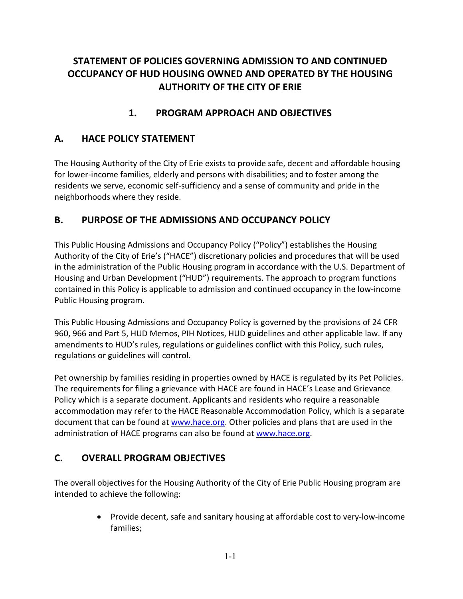# **STATEMENT OF POLICIES GOVERNING ADMISSION TO AND CONTINUED OCCUPANCY OF HUD HOUSING OWNED AND OPERATED BY THE HOUSING AUTHORITY OF THE CITY OF ERIE**

# **1. PROGRAM APPROACH AND OBJECTIVES**

# **A. HACE POLICY STATEMENT**

The Housing Authority of the City of Erie exists to provide safe, decent and affordable housing for lower-income families, elderly and persons with disabilities; and to foster among the residents we serve, economic self-sufficiency and a sense of community and pride in the neighborhoods where they reside.

# **B. PURPOSE OF THE ADMISSIONS AND OCCUPANCY POLICY**

This Public Housing Admissions and Occupancy Policy ("Policy") establishes the Housing Authority of the City of Erie's ("HACE") discretionary policies and procedures that will be used in the administration of the Public Housing program in accordance with the U.S. Department of Housing and Urban Development ("HUD") requirements. The approach to program functions contained in this Policy is applicable to admission and continued occupancy in the low-income Public Housing program.

This Public Housing Admissions and Occupancy Policy is governed by the provisions of 24 CFR 960, 966 and Part 5, HUD Memos, PIH Notices, HUD guidelines and other applicable law. If any amendments to HUD's rules, regulations or guidelines conflict with this Policy, such rules, regulations or guidelines will control.

Pet ownership by families residing in properties owned by HACE is regulated by its Pet Policies. The requirements for filing a grievance with HACE are found in HACE's Lease and Grievance Policy which is a separate document. Applicants and residents who require a reasonable accommodation may refer to the HACE Reasonable Accommodation Policy, which is a separate document that can be found at [www.hace.org.](http://www.hace.org/) Other policies and plans that are used in the administration of HACE programs can also be found at [www.hace.org.](http://www.hace.org/)

# **C. OVERALL PROGRAM OBJECTIVES**

The overall objectives for the Housing Authority of the City of Erie Public Housing program are intended to achieve the following:

> • Provide decent, safe and sanitary housing at affordable cost to very-low-income families;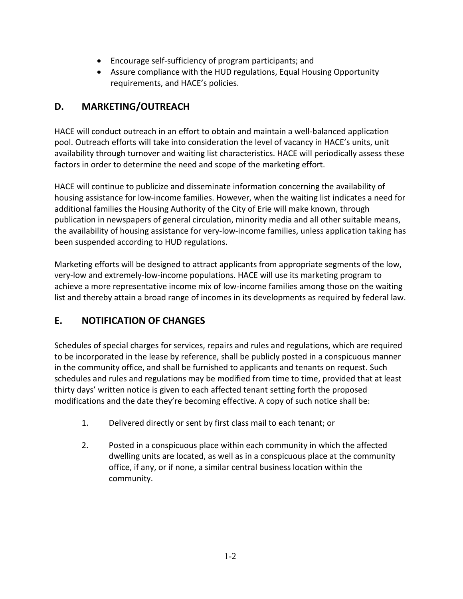- Encourage self-sufficiency of program participants; and
- Assure compliance with the HUD regulations, Equal Housing Opportunity requirements, and HACE's policies.

# **D. MARKETING/OUTREACH**

HACE will conduct outreach in an effort to obtain and maintain a well-balanced application pool. Outreach efforts will take into consideration the level of vacancy in HACE's units, unit availability through turnover and waiting list characteristics. HACE will periodically assess these factors in order to determine the need and scope of the marketing effort.

HACE will continue to publicize and disseminate information concerning the availability of housing assistance for low-income families. However, when the waiting list indicates a need for additional families the Housing Authority of the City of Erie will make known, through publication in newspapers of general circulation, minority media and all other suitable means, the availability of housing assistance for very-low-income families, unless application taking has been suspended according to HUD regulations.

Marketing efforts will be designed to attract applicants from appropriate segments of the low, very-low and extremely-low-income populations. HACE will use its marketing program to achieve a more representative income mix of low-income families among those on the waiting list and thereby attain a broad range of incomes in its developments as required by federal law.

# **E. NOTIFICATION OF CHANGES**

Schedules of special charges for services, repairs and rules and regulations, which are required to be incorporated in the lease by reference, shall be publicly posted in a conspicuous manner in the community office, and shall be furnished to applicants and tenants on request. Such schedules and rules and regulations may be modified from time to time, provided that at least thirty days' written notice is given to each affected tenant setting forth the proposed modifications and the date they're becoming effective. A copy of such notice shall be:

- 1. Delivered directly or sent by first class mail to each tenant; or
- 2. Posted in a conspicuous place within each community in which the affected dwelling units are located, as well as in a conspicuous place at the community office, if any, or if none, a similar central business location within the community.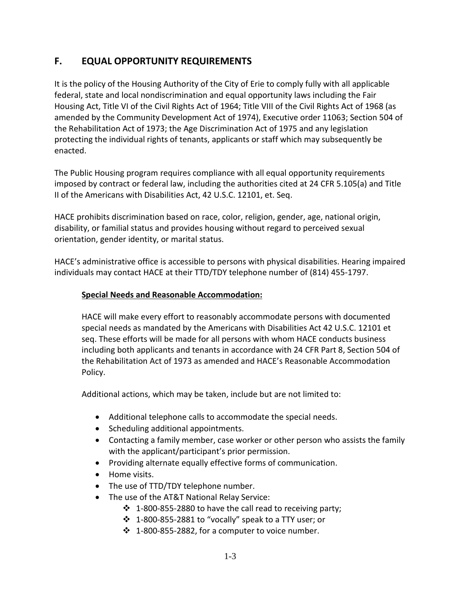# **F. EQUAL OPPORTUNITY REQUIREMENTS**

It is the policy of the Housing Authority of the City of Erie to comply fully with all applicable federal, state and local nondiscrimination and equal opportunity laws including the Fair Housing Act, Title VI of the Civil Rights Act of 1964; Title VIII of the Civil Rights Act of 1968 (as amended by the Community Development Act of 1974), Executive order 11063; Section 504 of the Rehabilitation Act of 1973; the Age Discrimination Act of 1975 and any legislation protecting the individual rights of tenants, applicants or staff which may subsequently be enacted.

The Public Housing program requires compliance with all equal opportunity requirements imposed by contract or federal law, including the authorities cited at 24 CFR 5.105(a) and Title II of the Americans with Disabilities Act, 42 U.S.C. 12101, et. Seq.

HACE prohibits discrimination based on race, color, religion, gender, age, national origin, disability, or familial status and provides housing without regard to perceived sexual orientation, gender identity, or marital status.

HACE's administrative office is accessible to persons with physical disabilities. Hearing impaired individuals may contact HACE at their TTD/TDY telephone number of (814) 455-1797.

#### **Special Needs and Reasonable Accommodation:**

HACE will make every effort to reasonably accommodate persons with documented special needs as mandated by the Americans with Disabilities Act 42 U.S.C. 12101 et seq. These efforts will be made for all persons with whom HACE conducts business including both applicants and tenants in accordance with 24 CFR Part 8, Section 504 of the Rehabilitation Act of 1973 as amended and HACE's Reasonable Accommodation Policy.

Additional actions, which may be taken, include but are not limited to:

- Additional telephone calls to accommodate the special needs.
- Scheduling additional appointments.
- Contacting a family member, case worker or other person who assists the family with the applicant/participant's prior permission.
- Providing alternate equally effective forms of communication.
- Home visits.
- The use of TTD/TDY telephone number.
- The use of the AT&T National Relay Service:
	- $\cdot$  1-800-855-2880 to have the call read to receiving party;
	- 1-800-855-2881 to "vocally" speak to a TTY user; or
	- $\cdot$  1-800-855-2882, for a computer to voice number.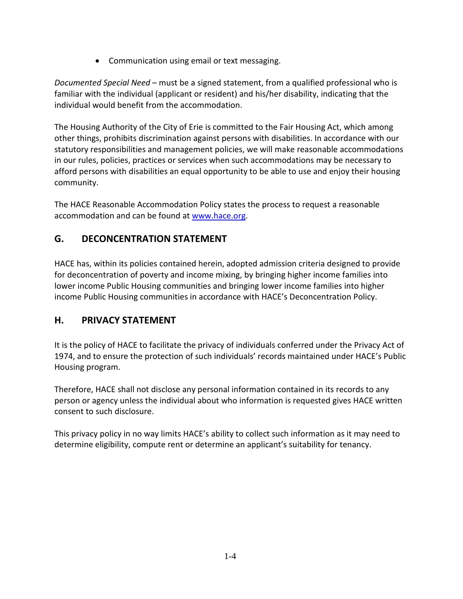• Communication using email or text messaging.

*Documented Special Need* – must be a signed statement, from a qualified professional who is familiar with the individual (applicant or resident) and his/her disability, indicating that the individual would benefit from the accommodation.

The Housing Authority of the City of Erie is committed to the Fair Housing Act, which among other things, prohibits discrimination against persons with disabilities. In accordance with our statutory responsibilities and management policies, we will make reasonable accommodations in our rules, policies, practices or services when such accommodations may be necessary to afford persons with disabilities an equal opportunity to be able to use and enjoy their housing community.

The HACE Reasonable Accommodation Policy states the process to request a reasonable accommodation and can be found at [www.hace.org.](http://www.hace.org/)

# **G. DECONCENTRATION STATEMENT**

HACE has, within its policies contained herein, adopted admission criteria designed to provide for deconcentration of poverty and income mixing, by bringing higher income families into lower income Public Housing communities and bringing lower income families into higher income Public Housing communities in accordance with HACE's Deconcentration Policy.

# **H. PRIVACY STATEMENT**

It is the policy of HACE to facilitate the privacy of individuals conferred under the Privacy Act of 1974, and to ensure the protection of such individuals' records maintained under HACE's Public Housing program.

Therefore, HACE shall not disclose any personal information contained in its records to any person or agency unless the individual about who information is requested gives HACE written consent to such disclosure.

This privacy policy in no way limits HACE's ability to collect such information as it may need to determine eligibility, compute rent or determine an applicant's suitability for tenancy.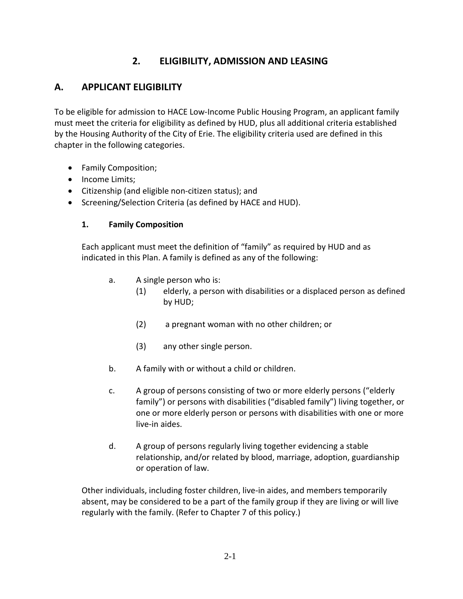# **2. ELIGIBILITY, ADMISSION AND LEASING**

### **A. APPLICANT ELIGIBILITY**

To be eligible for admission to HACE Low-Income Public Housing Program, an applicant family must meet the criteria for eligibility as defined by HUD, plus all additional criteria established by the Housing Authority of the City of Erie. The eligibility criteria used are defined in this chapter in the following categories.

- Family Composition;
- Income Limits;
- Citizenship (and eligible non-citizen status); and
- Screening/Selection Criteria (as defined by HACE and HUD).

#### **1. Family Composition**

Each applicant must meet the definition of "family" as required by HUD and as indicated in this Plan. A family is defined as any of the following:

- a. A single person who is:
	- (1) elderly, a person with disabilities or a displaced person as defined by HUD;
	- (2) a pregnant woman with no other children; or
	- (3) any other single person.
- b. A family with or without a child or children.
- c. A group of persons consisting of two or more elderly persons ("elderly family") or persons with disabilities ("disabled family") living together, or one or more elderly person or persons with disabilities with one or more live-in aides.
- d. A group of persons regularly living together evidencing a stable relationship, and/or related by blood, marriage, adoption, guardianship or operation of law.

Other individuals, including foster children, live-in aides, and members temporarily absent, may be considered to be a part of the family group if they are living or will live regularly with the family. (Refer to Chapter 7 of this policy.)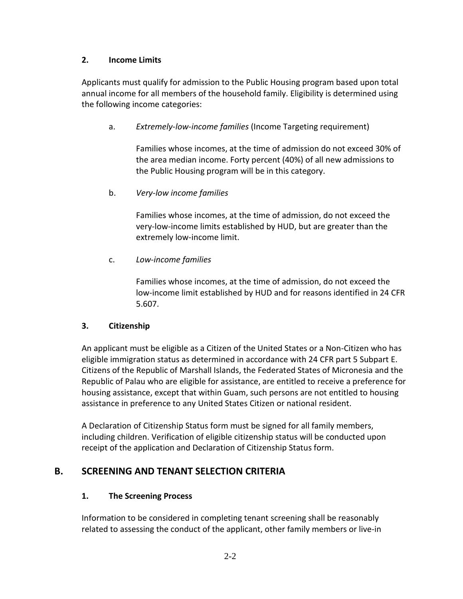#### **2. Income Limits**

Applicants must qualify for admission to the Public Housing program based upon total annual income for all members of the household family. Eligibility is determined using the following income categories:

a. *Extremely-low-income families* (Income Targeting requirement)

Families whose incomes, at the time of admission do not exceed 30% of the area median income. Forty percent (40%) of all new admissions to the Public Housing program will be in this category.

#### b. *Very-low income families*

Families whose incomes, at the time of admission, do not exceed the very-low-income limits established by HUD, but are greater than the extremely low-income limit.

#### c. *Low-income families*

Families whose incomes, at the time of admission, do not exceed the low-income limit established by HUD and for reasons identified in 24 CFR 5.607.

#### **3. Citizenship**

An applicant must be eligible as a Citizen of the United States or a Non-Citizen who has eligible immigration status as determined in accordance with 24 CFR part 5 Subpart E. Citizens of the Republic of Marshall Islands, the Federated States of Micronesia and the Republic of Palau who are eligible for assistance, are entitled to receive a preference for housing assistance, except that within Guam, such persons are not entitled to housing assistance in preference to any United States Citizen or national resident.

A Declaration of Citizenship Status form must be signed for all family members, including children. Verification of eligible citizenship status will be conducted upon receipt of the application and Declaration of Citizenship Status form.

### **B. SCREENING AND TENANT SELECTION CRITERIA**

#### **1. The Screening Process**

Information to be considered in completing tenant screening shall be reasonably related to assessing the conduct of the applicant, other family members or live-in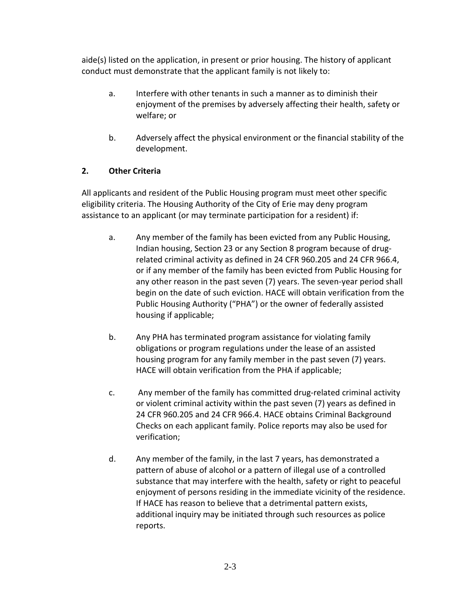aide(s) listed on the application, in present or prior housing. The history of applicant conduct must demonstrate that the applicant family is not likely to:

- a. Interfere with other tenants in such a manner as to diminish their enjoyment of the premises by adversely affecting their health, safety or welfare; or
- b. Adversely affect the physical environment or the financial stability of the development.

### **2. Other Criteria**

All applicants and resident of the Public Housing program must meet other specific eligibility criteria. The Housing Authority of the City of Erie may deny program assistance to an applicant (or may terminate participation for a resident) if:

- a. Any member of the family has been evicted from any Public Housing, Indian housing, Section 23 or any Section 8 program because of drugrelated criminal activity as defined in 24 CFR 960.205 and 24 CFR 966.4, or if any member of the family has been evicted from Public Housing for any other reason in the past seven (7) years. The seven-year period shall begin on the date of such eviction. HACE will obtain verification from the Public Housing Authority ("PHA") or the owner of federally assisted housing if applicable;
- b. Any PHA has terminated program assistance for violating family obligations or program regulations under the lease of an assisted housing program for any family member in the past seven (7) years. HACE will obtain verification from the PHA if applicable;
- c. Any member of the family has committed drug-related criminal activity or violent criminal activity within the past seven (7) years as defined in 24 CFR 960.205 and 24 CFR 966.4. HACE obtains Criminal Background Checks on each applicant family. Police reports may also be used for verification;
- d. Any member of the family, in the last 7 years, has demonstrated a pattern of abuse of alcohol or a pattern of illegal use of a controlled substance that may interfere with the health, safety or right to peaceful enjoyment of persons residing in the immediate vicinity of the residence. If HACE has reason to believe that a detrimental pattern exists, additional inquiry may be initiated through such resources as police reports.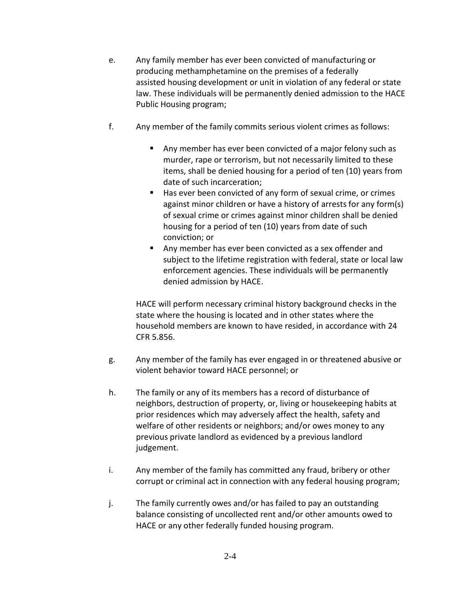- e. Any family member has ever been convicted of manufacturing or producing methamphetamine on the premises of a federally assisted housing development or unit in violation of any federal or state law. These individuals will be permanently denied admission to the HACE Public Housing program;
- f. Any member of the family commits serious violent crimes as follows:
	- Any member has ever been convicted of a major felony such as murder, rape or terrorism, but not necessarily limited to these items, shall be denied housing for a period of ten (10) years from date of such incarceration;
	- Has ever been convicted of any form of sexual crime, or crimes against minor children or have a history of arrests for any form(s) of sexual crime or crimes against minor children shall be denied housing for a period of ten (10) years from date of such conviction; or
	- Any member has ever been convicted as a sex offender and subject to the lifetime registration with federal, state or local law enforcement agencies. These individuals will be permanently denied admission by HACE.

HACE will perform necessary criminal history background checks in the state where the housing is located and in other states where the household members are known to have resided, in accordance with 24 CFR 5.856.

- g. Any member of the family has ever engaged in or threatened abusive or violent behavior toward HACE personnel; or
- h. The family or any of its members has a record of disturbance of neighbors, destruction of property, or, living or housekeeping habits at prior residences which may adversely affect the health, safety and welfare of other residents or neighbors; and/or owes money to any previous private landlord as evidenced by a previous landlord judgement.
- i. Any member of the family has committed any fraud, bribery or other corrupt or criminal act in connection with any federal housing program;
- j. The family currently owes and/or has failed to pay an outstanding balance consisting of uncollected rent and/or other amounts owed to HACE or any other federally funded housing program.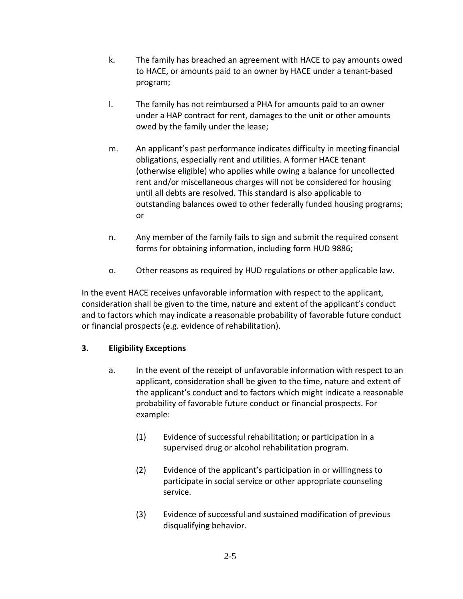- k. The family has breached an agreement with HACE to pay amounts owed to HACE, or amounts paid to an owner by HACE under a tenant-based program;
- l. The family has not reimbursed a PHA for amounts paid to an owner under a HAP contract for rent, damages to the unit or other amounts owed by the family under the lease;
- m. An applicant's past performance indicates difficulty in meeting financial obligations, especially rent and utilities. A former HACE tenant (otherwise eligible) who applies while owing a balance for uncollected rent and/or miscellaneous charges will not be considered for housing until all debts are resolved. This standard is also applicable to outstanding balances owed to other federally funded housing programs; or
- n. Any member of the family fails to sign and submit the required consent forms for obtaining information, including form HUD 9886;
- o. Other reasons as required by HUD regulations or other applicable law.

In the event HACE receives unfavorable information with respect to the applicant, consideration shall be given to the time, nature and extent of the applicant's conduct and to factors which may indicate a reasonable probability of favorable future conduct or financial prospects (e.g. evidence of rehabilitation).

### **3. Eligibility Exceptions**

- a. In the event of the receipt of unfavorable information with respect to an applicant, consideration shall be given to the time, nature and extent of the applicant's conduct and to factors which might indicate a reasonable probability of favorable future conduct or financial prospects. For example:
	- (1) Evidence of successful rehabilitation; or participation in a supervised drug or alcohol rehabilitation program.
	- (2) Evidence of the applicant's participation in or willingness to participate in social service or other appropriate counseling service.
	- (3) Evidence of successful and sustained modification of previous disqualifying behavior.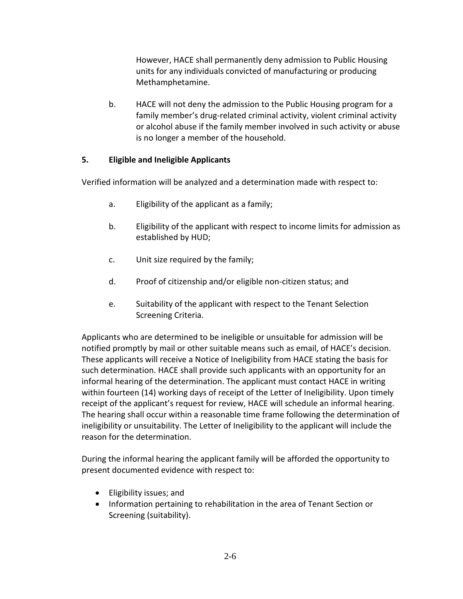However, HACE shall permanently deny admission to Public Housing units for any individuals convicted of manufacturing or producing Methamphetamine.

b. HACE will not deny the admission to the Public Housing program for a family member's drug-related criminal activity, violent criminal activity or alcohol abuse if the family member involved in such activity or abuse is no longer a member of the household.

#### **5. Eligible and Ineligible Applicants**

Verified information will be analyzed and a determination made with respect to:

- a. Eligibility of the applicant as a family;
- b. Eligibility of the applicant with respect to income limits for admission as established by HUD;
- c. Unit size required by the family;
- d. Proof of citizenship and/or eligible non-citizen status; and
- e. Suitability of the applicant with respect to the Tenant Selection Screening Criteria.

Applicants who are determined to be ineligible or unsuitable for admission will be notified promptly by mail or other suitable means such as email, of HACE's decision. These applicants will receive a Notice of Ineligibility from HACE stating the basis for such determination. HACE shall provide such applicants with an opportunity for an informal hearing of the determination. The applicant must contact HACE in writing within fourteen (14) working days of receipt of the Letter of Ineligibility. Upon timely receipt of the applicant's request for review, HACE will schedule an informal hearing. The hearing shall occur within a reasonable time frame following the determination of ineligibility or unsuitability. The Letter of Ineligibility to the applicant will include the reason for the determination.

During the informal hearing the applicant family will be afforded the opportunity to present documented evidence with respect to:

- Eligibility issues; and
- Information pertaining to rehabilitation in the area of Tenant Section or Screening (suitability).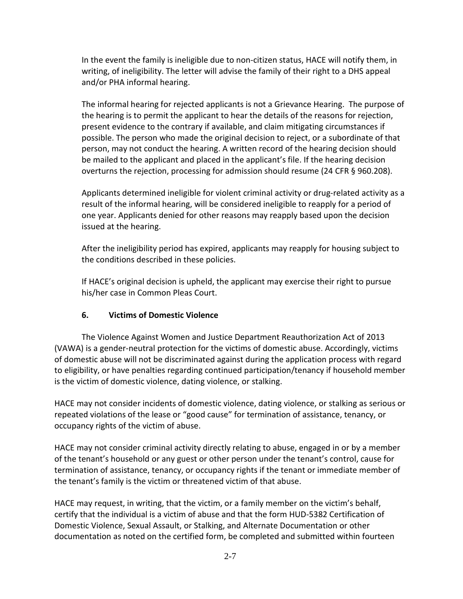In the event the family is ineligible due to non-citizen status, HACE will notify them, in writing, of ineligibility. The letter will advise the family of their right to a DHS appeal and/or PHA informal hearing.

The informal hearing for rejected applicants is not a Grievance Hearing. The purpose of the hearing is to permit the applicant to hear the details of the reasons for rejection, present evidence to the contrary if available, and claim mitigating circumstances if possible. The person who made the original decision to reject, or a subordinate of that person, may not conduct the hearing. A written record of the hearing decision should be mailed to the applicant and placed in the applicant's file. If the hearing decision overturns the rejection, processing for admission should resume (24 CFR § 960.208).

Applicants determined ineligible for violent criminal activity or drug-related activity as a result of the informal hearing, will be considered ineligible to reapply for a period of one year. Applicants denied for other reasons may reapply based upon the decision issued at the hearing.

After the ineligibility period has expired, applicants may reapply for housing subject to the conditions described in these policies.

If HACE's original decision is upheld, the applicant may exercise their right to pursue his/her case in Common Pleas Court.

### **6. Victims of Domestic Violence**

The Violence Against Women and Justice Department Reauthorization Act of 2013 (VAWA) is a gender-neutral protection for the victims of domestic abuse. Accordingly, victims of domestic abuse will not be discriminated against during the application process with regard to eligibility, or have penalties regarding continued participation/tenancy if household member is the victim of domestic violence, dating violence, or stalking.

HACE may not consider incidents of domestic violence, dating violence, or stalking as serious or repeated violations of the lease or "good cause" for termination of assistance, tenancy, or occupancy rights of the victim of abuse.

HACE may not consider criminal activity directly relating to abuse, engaged in or by a member of the tenant's household or any guest or other person under the tenant's control, cause for termination of assistance, tenancy, or occupancy rights if the tenant or immediate member of the tenant's family is the victim or threatened victim of that abuse.

HACE may request, in writing, that the victim, or a family member on the victim's behalf, certify that the individual is a victim of abuse and that the form HUD-5382 Certification of Domestic Violence, Sexual Assault, or Stalking, and Alternate Documentation or other documentation as noted on the certified form, be completed and submitted within fourteen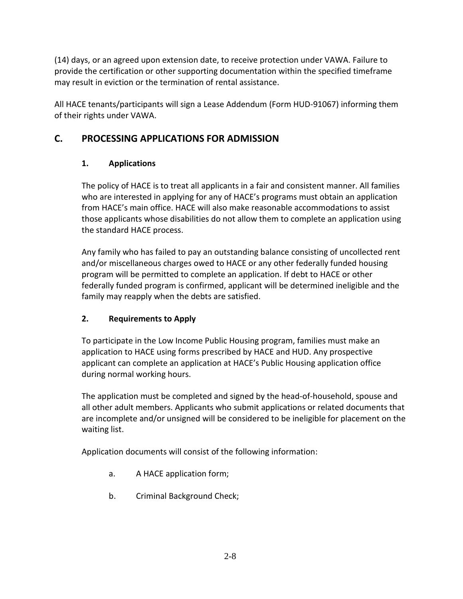(14) days, or an agreed upon extension date, to receive protection under VAWA. Failure to provide the certification or other supporting documentation within the specified timeframe may result in eviction or the termination of rental assistance.

All HACE tenants/participants will sign a Lease Addendum (Form HUD-91067) informing them of their rights under VAWA.

# **C. PROCESSING APPLICATIONS FOR ADMISSION**

### **1. Applications**

The policy of HACE is to treat all applicants in a fair and consistent manner. All families who are interested in applying for any of HACE's programs must obtain an application from HACE's main office. HACE will also make reasonable accommodations to assist those applicants whose disabilities do not allow them to complete an application using the standard HACE process.

Any family who has failed to pay an outstanding balance consisting of uncollected rent and/or miscellaneous charges owed to HACE or any other federally funded housing program will be permitted to complete an application. If debt to HACE or other federally funded program is confirmed, applicant will be determined ineligible and the family may reapply when the debts are satisfied.

### **2. Requirements to Apply**

To participate in the Low Income Public Housing program, families must make an application to HACE using forms prescribed by HACE and HUD. Any prospective applicant can complete an application at HACE's Public Housing application office during normal working hours.

The application must be completed and signed by the head-of-household, spouse and all other adult members. Applicants who submit applications or related documents that are incomplete and/or unsigned will be considered to be ineligible for placement on the waiting list.

Application documents will consist of the following information:

- a. A HACE application form;
- b. Criminal Background Check;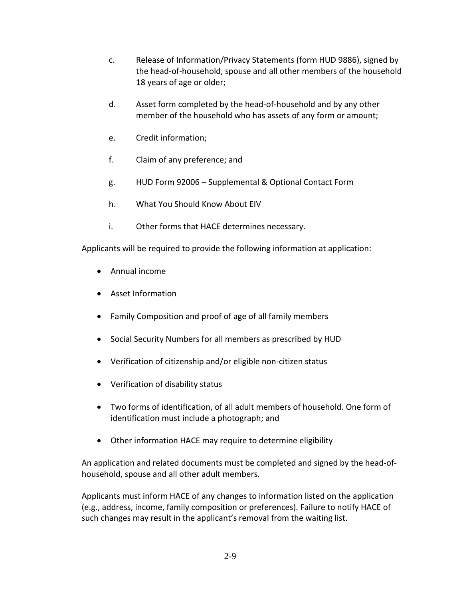- c. Release of Information/Privacy Statements (form HUD 9886), signed by the head-of-household, spouse and all other members of the household 18 years of age or older;
- d. Asset form completed by the head-of-household and by any other member of the household who has assets of any form or amount;
- e. Credit information;
- f. Claim of any preference; and
- g. HUD Form 92006 Supplemental & Optional Contact Form
- h. What You Should Know About EIV
- i. Other forms that HACE determines necessary.

Applicants will be required to provide the following information at application:

- Annual income
- Asset Information
- Family Composition and proof of age of all family members
- Social Security Numbers for all members as prescribed by HUD
- Verification of citizenship and/or eligible non-citizen status
- Verification of disability status
- Two forms of identification, of all adult members of household. One form of identification must include a photograph; and
- Other information HACE may require to determine eligibility

An application and related documents must be completed and signed by the head-ofhousehold, spouse and all other adult members.

Applicants must inform HACE of any changes to information listed on the application (e.g., address, income, family composition or preferences). Failure to notify HACE of such changes may result in the applicant's removal from the waiting list.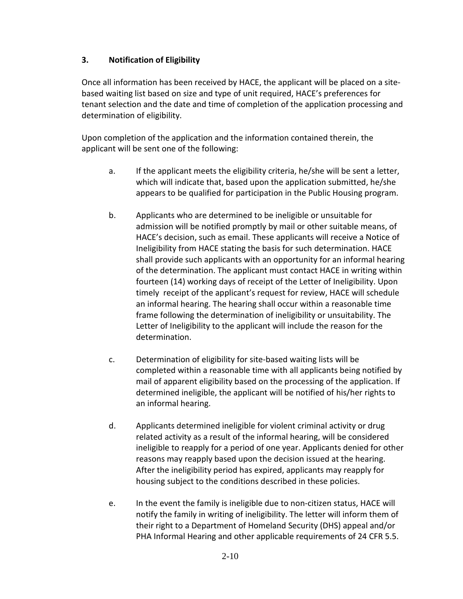#### **3. Notification of Eligibility**

Once all information has been received by HACE, the applicant will be placed on a sitebased waiting list based on size and type of unit required, HACE's preferences for tenant selection and the date and time of completion of the application processing and determination of eligibility.

Upon completion of the application and the information contained therein, the applicant will be sent one of the following:

- a. If the applicant meets the eligibility criteria, he/she will be sent a letter, which will indicate that, based upon the application submitted, he/she appears to be qualified for participation in the Public Housing program.
- b. Applicants who are determined to be ineligible or unsuitable for admission will be notified promptly by mail or other suitable means, of HACE's decision, such as email. These applicants will receive a Notice of Ineligibility from HACE stating the basis for such determination. HACE shall provide such applicants with an opportunity for an informal hearing of the determination. The applicant must contact HACE in writing within fourteen (14) working days of receipt of the Letter of Ineligibility. Upon timely receipt of the applicant's request for review, HACE will schedule an informal hearing. The hearing shall occur within a reasonable time frame following the determination of ineligibility or unsuitability. The Letter of Ineligibility to the applicant will include the reason for the determination.
- c. Determination of eligibility for site-based waiting lists will be completed within a reasonable time with all applicants being notified by mail of apparent eligibility based on the processing of the application. If determined ineligible, the applicant will be notified of his/her rights to an informal hearing.
- d. Applicants determined ineligible for violent criminal activity or drug related activity as a result of the informal hearing, will be considered ineligible to reapply for a period of one year. Applicants denied for other reasons may reapply based upon the decision issued at the hearing. After the ineligibility period has expired, applicants may reapply for housing subject to the conditions described in these policies.
- e. In the event the family is ineligible due to non-citizen status, HACE will notify the family in writing of ineligibility. The letter will inform them of their right to a Department of Homeland Security (DHS) appeal and/or PHA Informal Hearing and other applicable requirements of 24 CFR 5.5.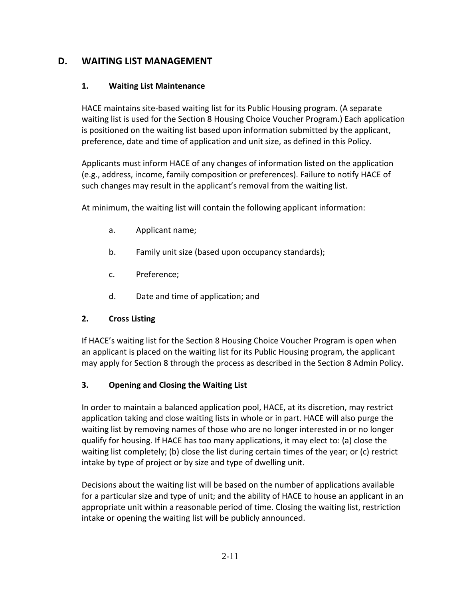### **D. WAITING LIST MANAGEMENT**

#### **1. Waiting List Maintenance**

HACE maintains site-based waiting list for its Public Housing program. (A separate waiting list is used for the Section 8 Housing Choice Voucher Program.) Each application is positioned on the waiting list based upon information submitted by the applicant, preference, date and time of application and unit size, as defined in this Policy.

Applicants must inform HACE of any changes of information listed on the application (e.g., address, income, family composition or preferences). Failure to notify HACE of such changes may result in the applicant's removal from the waiting list.

At minimum, the waiting list will contain the following applicant information:

- a. Applicant name;
- b. Family unit size (based upon occupancy standards);
- c. Preference;
- d. Date and time of application; and

### **2. Cross Listing**

If HACE's waiting list for the Section 8 Housing Choice Voucher Program is open when an applicant is placed on the waiting list for its Public Housing program, the applicant may apply for Section 8 through the process as described in the Section 8 Admin Policy.

### **3. Opening and Closing the Waiting List**

In order to maintain a balanced application pool, HACE, at its discretion, may restrict application taking and close waiting lists in whole or in part. HACE will also purge the waiting list by removing names of those who are no longer interested in or no longer qualify for housing. If HACE has too many applications, it may elect to: (a) close the waiting list completely; (b) close the list during certain times of the year; or (c) restrict intake by type of project or by size and type of dwelling unit.

Decisions about the waiting list will be based on the number of applications available for a particular size and type of unit; and the ability of HACE to house an applicant in an appropriate unit within a reasonable period of time. Closing the waiting list, restriction intake or opening the waiting list will be publicly announced.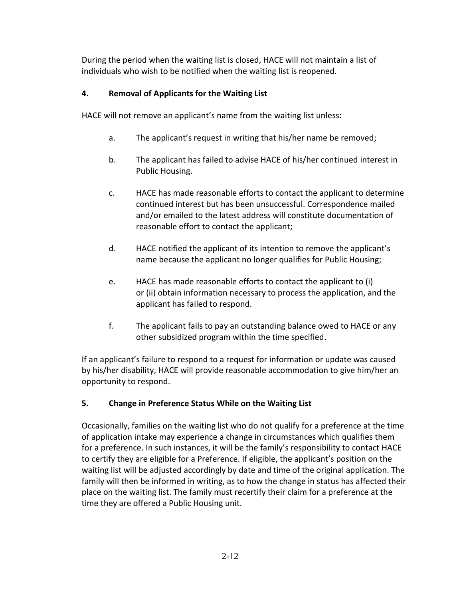During the period when the waiting list is closed, HACE will not maintain a list of individuals who wish to be notified when the waiting list is reopened.

### **4. Removal of Applicants for the Waiting List**

HACE will not remove an applicant's name from the waiting list unless:

- a. The applicant's request in writing that his/her name be removed;
- b. The applicant has failed to advise HACE of his/her continued interest in Public Housing.
- c. HACE has made reasonable efforts to contact the applicant to determine continued interest but has been unsuccessful. Correspondence mailed and/or emailed to the latest address will constitute documentation of reasonable effort to contact the applicant;
- d. HACE notified the applicant of its intention to remove the applicant's name because the applicant no longer qualifies for Public Housing;
- e. HACE has made reasonable efforts to contact the applicant to (i) or (ii) obtain information necessary to process the application, and the applicant has failed to respond.
- f. The applicant fails to pay an outstanding balance owed to HACE or any other subsidized program within the time specified.

If an applicant's failure to respond to a request for information or update was caused by his/her disability, HACE will provide reasonable accommodation to give him/her an opportunity to respond.

### **5. Change in Preference Status While on the Waiting List**

Occasionally, families on the waiting list who do not qualify for a preference at the time of application intake may experience a change in circumstances which qualifies them for a preference. In such instances, it will be the family's responsibility to contact HACE to certify they are eligible for a Preference. If eligible, the applicant's position on the waiting list will be adjusted accordingly by date and time of the original application. The family will then be informed in writing, as to how the change in status has affected their place on the waiting list. The family must recertify their claim for a preference at the time they are offered a Public Housing unit.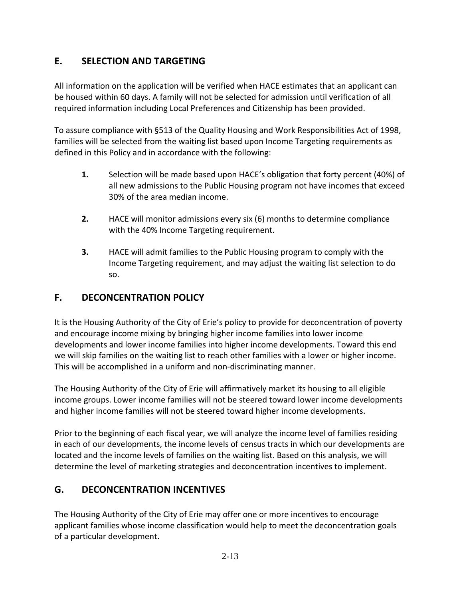# **E. SELECTION AND TARGETING**

All information on the application will be verified when HACE estimates that an applicant can be housed within 60 days. A family will not be selected for admission until verification of all required information including Local Preferences and Citizenship has been provided.

To assure compliance with §513 of the Quality Housing and Work Responsibilities Act of 1998, families will be selected from the waiting list based upon Income Targeting requirements as defined in this Policy and in accordance with the following:

- **1.** Selection will be made based upon HACE's obligation that forty percent (40%) of all new admissions to the Public Housing program not have incomes that exceed 30% of the area median income.
- **2.** HACE will monitor admissions every six (6) months to determine compliance with the 40% Income Targeting requirement.
- **3.** HACE will admit families to the Public Housing program to comply with the Income Targeting requirement, and may adjust the waiting list selection to do so.

# **F. DECONCENTRATION POLICY**

It is the Housing Authority of the City of Erie's policy to provide for deconcentration of poverty and encourage income mixing by bringing higher income families into lower income developments and lower income families into higher income developments. Toward this end we will skip families on the waiting list to reach other families with a lower or higher income. This will be accomplished in a uniform and non-discriminating manner.

The Housing Authority of the City of Erie will affirmatively market its housing to all eligible income groups. Lower income families will not be steered toward lower income developments and higher income families will not be steered toward higher income developments.

Prior to the beginning of each fiscal year, we will analyze the income level of families residing in each of our developments, the income levels of census tracts in which our developments are located and the income levels of families on the waiting list. Based on this analysis, we will determine the level of marketing strategies and deconcentration incentives to implement.

# **G. DECONCENTRATION INCENTIVES**

The Housing Authority of the City of Erie may offer one or more incentives to encourage applicant families whose income classification would help to meet the deconcentration goals of a particular development.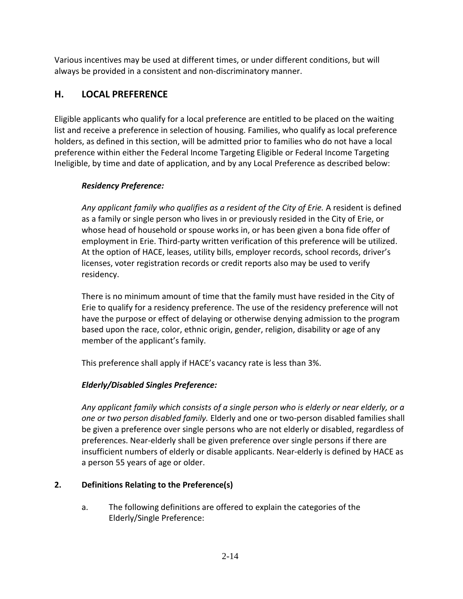Various incentives may be used at different times, or under different conditions, but will always be provided in a consistent and non-discriminatory manner.

### **H. LOCAL PREFERENCE**

Eligible applicants who qualify for a local preference are entitled to be placed on the waiting list and receive a preference in selection of housing. Families, who qualify as local preference holders, as defined in this section, will be admitted prior to families who do not have a local preference within either the Federal Income Targeting Eligible or Federal Income Targeting Ineligible, by time and date of application, and by any Local Preference as described below:

#### *Residency Preference:*

*Any applicant family who qualifies as a resident of the City of Erie.* A resident is defined as a family or single person who lives in or previously resided in the City of Erie, or whose head of household or spouse works in, or has been given a bona fide offer of employment in Erie. Third-party written verification of this preference will be utilized. At the option of HACE, leases, utility bills, employer records, school records, driver's licenses, voter registration records or credit reports also may be used to verify residency.

There is no minimum amount of time that the family must have resided in the City of Erie to qualify for a residency preference. The use of the residency preference will not have the purpose or effect of delaying or otherwise denying admission to the program based upon the race, color, ethnic origin, gender, religion, disability or age of any member of the applicant's family.

This preference shall apply if HACE's vacancy rate is less than 3%.

### *Elderly/Disabled Singles Preference:*

*Any applicant family which consists of a single person who is elderly or near elderly, or a one or two person disabled family.* Elderly and one or two-person disabled families shall be given a preference over single persons who are not elderly or disabled, regardless of preferences. Near-elderly shall be given preference over single persons if there are insufficient numbers of elderly or disable applicants. Near-elderly is defined by HACE as a person 55 years of age or older.

### **2. Definitions Relating to the Preference(s)**

a. The following definitions are offered to explain the categories of the Elderly/Single Preference: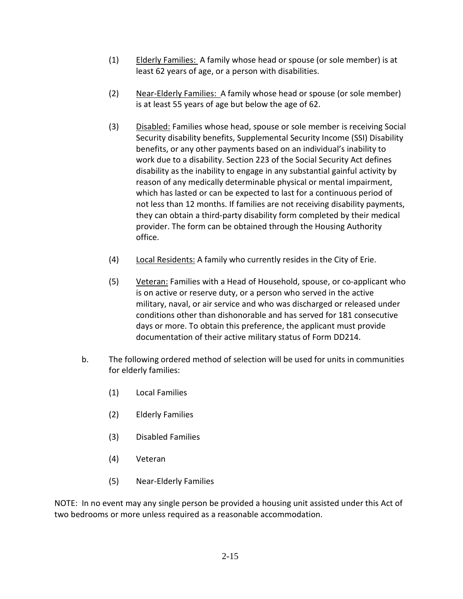- (1) Elderly Families: A family whose head or spouse (or sole member) is at least 62 years of age, or a person with disabilities.
- (2) Near-Elderly Families: A family whose head or spouse (or sole member) is at least 55 years of age but below the age of 62.
- (3) Disabled: Families whose head, spouse or sole member is receiving Social Security disability benefits, Supplemental Security Income (SSI) Disability benefits, or any other payments based on an individual's inability to work due to a disability. Section 223 of the Social Security Act defines disability as the inability to engage in any substantial gainful activity by reason of any medically determinable physical or mental impairment, which has lasted or can be expected to last for a continuous period of not less than 12 months. If families are not receiving disability payments, they can obtain a third-party disability form completed by their medical provider. The form can be obtained through the Housing Authority office.
- (4) Local Residents: A family who currently resides in the City of Erie.
- (5) Veteran: Families with a Head of Household, spouse, or co-applicant who is on active or reserve duty, or a person who served in the active military, naval, or air service and who was discharged or released under conditions other than dishonorable and has served for 181 consecutive days or more. To obtain this preference, the applicant must provide documentation of their active military status of Form DD214.
- b. The following ordered method of selection will be used for units in communities for elderly families:
	- (1) Local Families
	- (2) Elderly Families
	- (3) Disabled Families
	- (4) Veteran
	- (5) Near-Elderly Families

NOTE: In no event may any single person be provided a housing unit assisted under this Act of two bedrooms or more unless required as a reasonable accommodation.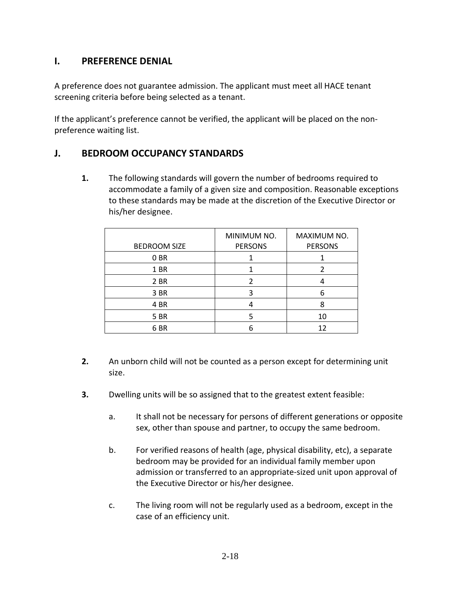### **I. PREFERENCE DENIAL**

A preference does not guarantee admission. The applicant must meet all HACE tenant screening criteria before being selected as a tenant.

If the applicant's preference cannot be verified, the applicant will be placed on the nonpreference waiting list.

### **J. BEDROOM OCCUPANCY STANDARDS**

**1.** The following standards will govern the number of bedrooms required to accommodate a family of a given size and composition. Reasonable exceptions to these standards may be made at the discretion of the Executive Director or his/her designee.

| <b>BEDROOM SIZE</b> | MINIMUM NO.<br><b>PERSONS</b> | MAXIMUM NO.<br><b>PERSONS</b> |
|---------------------|-------------------------------|-------------------------------|
| 0 BR                |                               |                               |
| 1 BR                |                               |                               |
| 2 BR                |                               |                               |
| 3 BR                |                               |                               |
| 4 BR                |                               | 8                             |
| 5 BR                |                               | 10                            |
| 6 BR                |                               | 12                            |

- **2.** An unborn child will not be counted as a person except for determining unit size.
- **3.** Dwelling units will be so assigned that to the greatest extent feasible:
	- a. It shall not be necessary for persons of different generations or opposite sex, other than spouse and partner, to occupy the same bedroom.
	- b. For verified reasons of health (age, physical disability, etc), a separate bedroom may be provided for an individual family member upon admission or transferred to an appropriate-sized unit upon approval of the Executive Director or his/her designee.
	- c. The living room will not be regularly used as a bedroom, except in the case of an efficiency unit.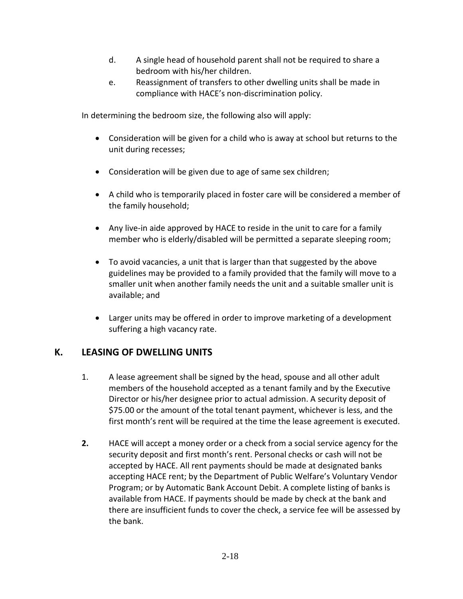- d. A single head of household parent shall not be required to share a bedroom with his/her children.
- e. Reassignment of transfers to other dwelling units shall be made in compliance with HACE's non-discrimination policy.

In determining the bedroom size, the following also will apply:

- Consideration will be given for a child who is away at school but returns to the unit during recesses;
- Consideration will be given due to age of same sex children;
- A child who is temporarily placed in foster care will be considered a member of the family household;
- Any live-in aide approved by HACE to reside in the unit to care for a family member who is elderly/disabled will be permitted a separate sleeping room;
- To avoid vacancies, a unit that is larger than that suggested by the above guidelines may be provided to a family provided that the family will move to a smaller unit when another family needs the unit and a suitable smaller unit is available; and
- Larger units may be offered in order to improve marketing of a development suffering a high vacancy rate.

### **K. LEASING OF DWELLING UNITS**

- 1. A lease agreement shall be signed by the head, spouse and all other adult members of the household accepted as a tenant family and by the Executive Director or his/her designee prior to actual admission. A security deposit of \$75.00 or the amount of the total tenant payment, whichever is less, and the first month's rent will be required at the time the lease agreement is executed.
- **2.** HACE will accept a money order or a check from a social service agency for the security deposit and first month's rent. Personal checks or cash will not be accepted by HACE. All rent payments should be made at designated banks accepting HACE rent; by the Department of Public Welfare's Voluntary Vendor Program; or by Automatic Bank Account Debit. A complete listing of banks is available from HACE. If payments should be made by check at the bank and there are insufficient funds to cover the check, a service fee will be assessed by the bank.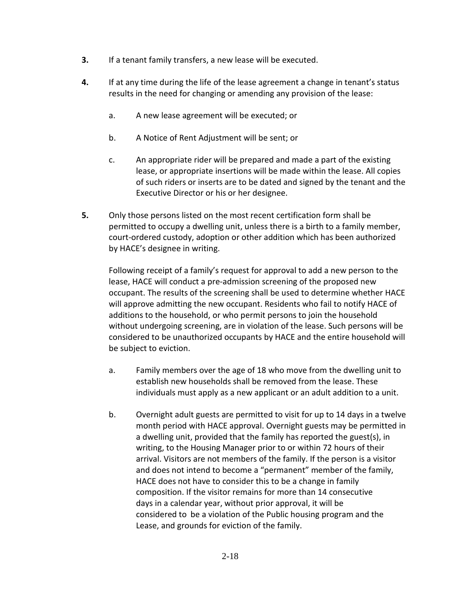- **3.** If a tenant family transfers, a new lease will be executed.
- **4.** If at any time during the life of the lease agreement a change in tenant's status results in the need for changing or amending any provision of the lease:
	- a. A new lease agreement will be executed; or
	- b. A Notice of Rent Adjustment will be sent; or
	- c. An appropriate rider will be prepared and made a part of the existing lease, or appropriate insertions will be made within the lease. All copies of such riders or inserts are to be dated and signed by the tenant and the Executive Director or his or her designee.
- **5.** Only those persons listed on the most recent certification form shall be permitted to occupy a dwelling unit, unless there is a birth to a family member, court-ordered custody, adoption or other addition which has been authorized by HACE's designee in writing.

Following receipt of a family's request for approval to add a new person to the lease, HACE will conduct a pre-admission screening of the proposed new occupant. The results of the screening shall be used to determine whether HACE will approve admitting the new occupant. Residents who fail to notify HACE of additions to the household, or who permit persons to join the household without undergoing screening, are in violation of the lease. Such persons will be considered to be unauthorized occupants by HACE and the entire household will be subject to eviction.

- a. Family members over the age of 18 who move from the dwelling unit to establish new households shall be removed from the lease. These individuals must apply as a new applicant or an adult addition to a unit.
- b. Overnight adult guests are permitted to visit for up to 14 days in a twelve month period with HACE approval. Overnight guests may be permitted in a dwelling unit, provided that the family has reported the guest(s), in writing, to the Housing Manager prior to or within 72 hours of their arrival. Visitors are not members of the family. If the person is a visitor and does not intend to become a "permanent" member of the family, HACE does not have to consider this to be a change in family composition. If the visitor remains for more than 14 consecutive days in a calendar year, without prior approval, it will be considered to be a violation of the Public housing program and the Lease, and grounds for eviction of the family.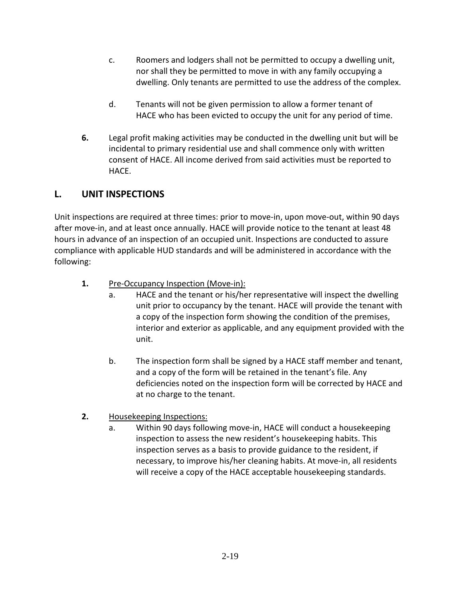- c. Roomers and lodgers shall not be permitted to occupy a dwelling unit, nor shall they be permitted to move in with any family occupying a dwelling. Only tenants are permitted to use the address of the complex.
- d. Tenants will not be given permission to allow a former tenant of HACE who has been evicted to occupy the unit for any period of time.
- **6.** Legal profit making activities may be conducted in the dwelling unit but will be incidental to primary residential use and shall commence only with written consent of HACE. All income derived from said activities must be reported to HACE.

# **L. UNIT INSPECTIONS**

Unit inspections are required at three times: prior to move-in, upon move-out, within 90 days after move-in, and at least once annually. HACE will provide notice to the tenant at least 48 hours in advance of an inspection of an occupied unit. Inspections are conducted to assure compliance with applicable HUD standards and will be administered in accordance with the following:

- 1. **Pre-Occupancy Inspection (Move-in):** 
	- a. HACE and the tenant or his/her representative will inspect the dwelling unit prior to occupancy by the tenant. HACE will provide the tenant with a copy of the inspection form showing the condition of the premises, interior and exterior as applicable, and any equipment provided with the unit.
	- b. The inspection form shall be signed by a HACE staff member and tenant, and a copy of the form will be retained in the tenant's file. Any deficiencies noted on the inspection form will be corrected by HACE and at no charge to the tenant.
- **2.** Housekeeping Inspections:
	- a. Within 90 days following move-in, HACE will conduct a housekeeping inspection to assess the new resident's housekeeping habits. This inspection serves as a basis to provide guidance to the resident, if necessary, to improve his/her cleaning habits. At move-in, all residents will receive a copy of the HACE acceptable housekeeping standards.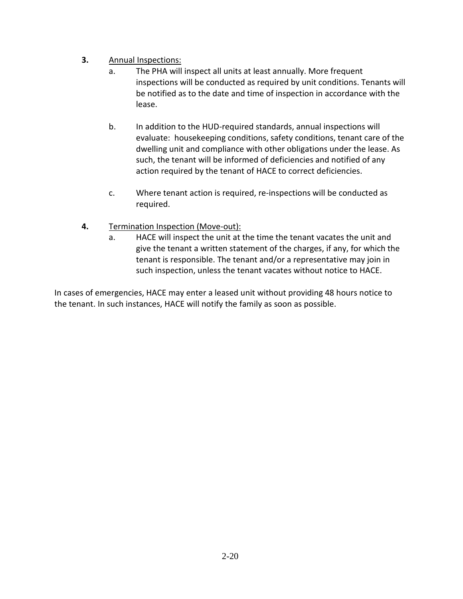### **3.** Annual Inspections:

- a. The PHA will inspect all units at least annually. More frequent inspections will be conducted as required by unit conditions. Tenants will be notified as to the date and time of inspection in accordance with the lease.
- b. In addition to the HUD-required standards, annual inspections will evaluate: housekeeping conditions, safety conditions, tenant care of the dwelling unit and compliance with other obligations under the lease. As such, the tenant will be informed of deficiencies and notified of any action required by the tenant of HACE to correct deficiencies.
- c. Where tenant action is required, re-inspections will be conducted as required.
- **4.** Termination Inspection (Move-out):
	- a. HACE will inspect the unit at the time the tenant vacates the unit and give the tenant a written statement of the charges, if any, for which the tenant is responsible. The tenant and/or a representative may join in such inspection, unless the tenant vacates without notice to HACE.

In cases of emergencies, HACE may enter a leased unit without providing 48 hours notice to the tenant. In such instances, HACE will notify the family as soon as possible.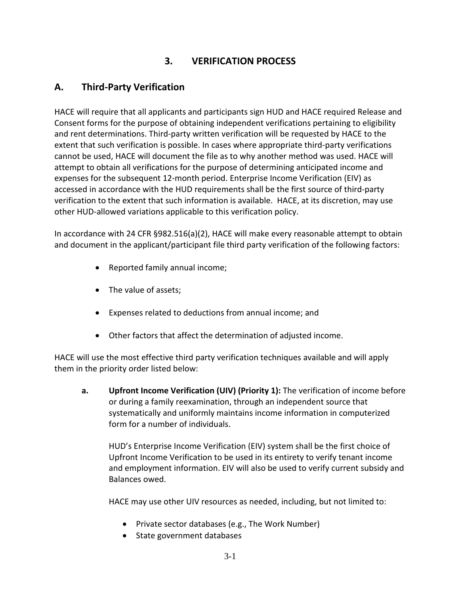# **3. VERIFICATION PROCESS**

# **A. Third-Party Verification**

HACE will require that all applicants and participants sign HUD and HACE required Release and Consent forms for the purpose of obtaining independent verifications pertaining to eligibility and rent determinations. Third-party written verification will be requested by HACE to the extent that such verification is possible. In cases where appropriate third-party verifications cannot be used, HACE will document the file as to why another method was used. HACE will attempt to obtain all verifications for the purpose of determining anticipated income and expenses for the subsequent 12-month period. Enterprise Income Verification (EIV) as accessed in accordance with the HUD requirements shall be the first source of third-party verification to the extent that such information is available. HACE, at its discretion, may use other HUD-allowed variations applicable to this verification policy.

In accordance with 24 CFR §982.516(a)(2), HACE will make every reasonable attempt to obtain and document in the applicant/participant file third party verification of the following factors:

- Reported family annual income;
- The value of assets;
- Expenses related to deductions from annual income; and
- Other factors that affect the determination of adjusted income.

HACE will use the most effective third party verification techniques available and will apply them in the priority order listed below:

**a. Upfront Income Verification (UIV) (Priority 1):** The verification of income before or during a family reexamination, through an independent source that systematically and uniformly maintains income information in computerized form for a number of individuals.

HUD's Enterprise Income Verification (EIV) system shall be the first choice of Upfront Income Verification to be used in its entirety to verify tenant income and employment information. EIV will also be used to verify current subsidy and Balances owed.

HACE may use other UIV resources as needed, including, but not limited to:

- Private sector databases (e.g., The Work Number)
- State government databases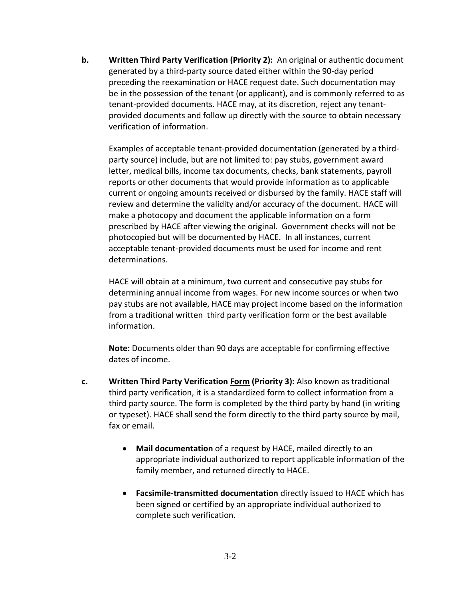**b.** Written Third Party Verification (Priority 2): An original or authentic document generated by a third-party source dated either within the 90-day period preceding the reexamination or HACE request date. Such documentation may be in the possession of the tenant (or applicant), and is commonly referred to as tenant-provided documents. HACE may, at its discretion, reject any tenantprovided documents and follow up directly with the source to obtain necessary verification of information.

Examples of acceptable tenant-provided documentation (generated by a thirdparty source) include, but are not limited to: pay stubs, government award letter, medical bills, income tax documents, checks, bank statements, payroll reports or other documents that would provide information as to applicable current or ongoing amounts received or disbursed by the family. HACE staff will review and determine the validity and/or accuracy of the document. HACE will make a photocopy and document the applicable information on a form prescribed by HACE after viewing the original. Government checks will not be photocopied but will be documented by HACE. In all instances, current acceptable tenant-provided documents must be used for income and rent determinations.

HACE will obtain at a minimum, two current and consecutive pay stubs for determining annual income from wages. For new income sources or when two pay stubs are not available, HACE may project income based on the information from a traditional written third party verification form or the best available information.

**Note:** Documents older than 90 days are acceptable for confirming effective dates of income.

- **c. Written Third Party Verification Form (Priority 3):** Also known as traditional third party verification, it is a standardized form to collect information from a third party source. The form is completed by the third party by hand (in writing or typeset). HACE shall send the form directly to the third party source by mail, fax or email.
	- **Mail documentation** of a request by HACE, mailed directly to an appropriate individual authorized to report applicable information of the family member, and returned directly to HACE.
	- **Facsimile-transmitted documentation** directly issued to HACE which has been signed or certified by an appropriate individual authorized to complete such verification.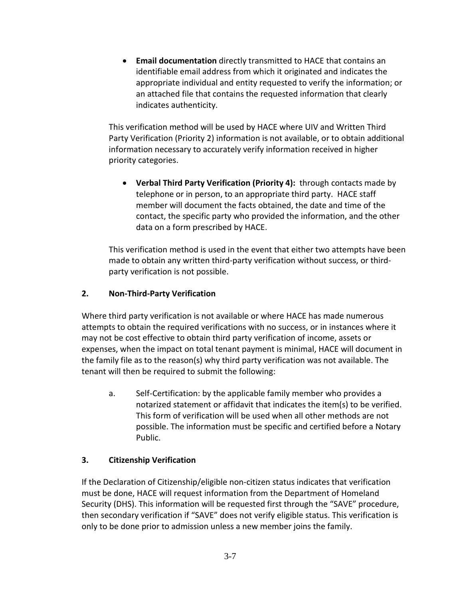• **Email documentation** directly transmitted to HACE that contains an identifiable email address from which it originated and indicates the appropriate individual and entity requested to verify the information; or an attached file that contains the requested information that clearly indicates authenticity.

This verification method will be used by HACE where UIV and Written Third Party Verification (Priority 2) information is not available, or to obtain additional information necessary to accurately verify information received in higher priority categories.

• **Verbal Third Party Verification (Priority 4):** through contacts made by telephone or in person, to an appropriate third party. HACE staff member will document the facts obtained, the date and time of the contact, the specific party who provided the information, and the other data on a form prescribed by HACE.

This verification method is used in the event that either two attempts have been made to obtain any written third-party verification without success, or thirdparty verification is not possible.

#### **2. Non-Third-Party Verification**

Where third party verification is not available or where HACE has made numerous attempts to obtain the required verifications with no success, or in instances where it may not be cost effective to obtain third party verification of income, assets or expenses, when the impact on total tenant payment is minimal, HACE will document in the family file as to the reason(s) why third party verification was not available. The tenant will then be required to submit the following:

a. Self-Certification: by the applicable family member who provides a notarized statement or affidavit that indicates the item(s) to be verified. This form of verification will be used when all other methods are not possible. The information must be specific and certified before a Notary Public.

### **3. Citizenship Verification**

If the Declaration of Citizenship/eligible non-citizen status indicates that verification must be done, HACE will request information from the Department of Homeland Security (DHS). This information will be requested first through the "SAVE" procedure, then secondary verification if "SAVE" does not verify eligible status. This verification is only to be done prior to admission unless a new member joins the family.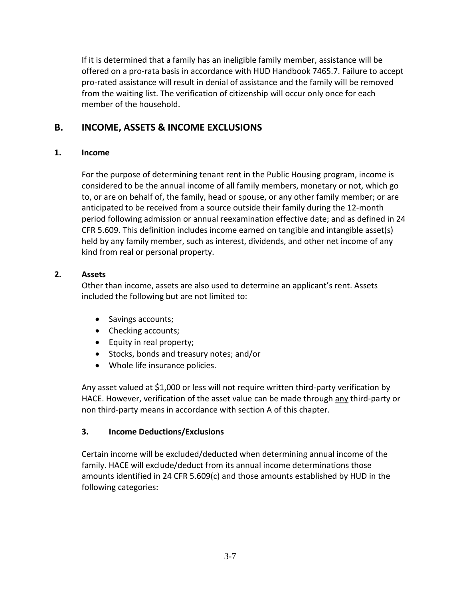If it is determined that a family has an ineligible family member, assistance will be offered on a pro-rata basis in accordance with HUD Handbook 7465.7. Failure to accept pro-rated assistance will result in denial of assistance and the family will be removed from the waiting list. The verification of citizenship will occur only once for each member of the household.

### **B. INCOME, ASSETS & INCOME EXCLUSIONS**

#### **1. Income**

For the purpose of determining tenant rent in the Public Housing program, income is considered to be the annual income of all family members, monetary or not, which go to, or are on behalf of, the family, head or spouse, or any other family member; or are anticipated to be received from a source outside their family during the 12-month period following admission or annual reexamination effective date; and as defined in 24 CFR 5.609. This definition includes income earned on tangible and intangible asset(s) held by any family member, such as interest, dividends, and other net income of any kind from real or personal property.

#### **2. Assets**

Other than income, assets are also used to determine an applicant's rent. Assets included the following but are not limited to:

- Savings accounts;
- Checking accounts;
- Equity in real property;
- Stocks, bonds and treasury notes; and/or
- Whole life insurance policies.

Any asset valued at \$1,000 or less will not require written third-party verification by HACE. However, verification of the asset value can be made through any third-party or non third-party means in accordance with section A of this chapter.

#### **3. Income Deductions/Exclusions**

Certain income will be excluded/deducted when determining annual income of the family. HACE will exclude/deduct from its annual income determinations those amounts identified in 24 CFR 5.609(c) and those amounts established by HUD in the following categories: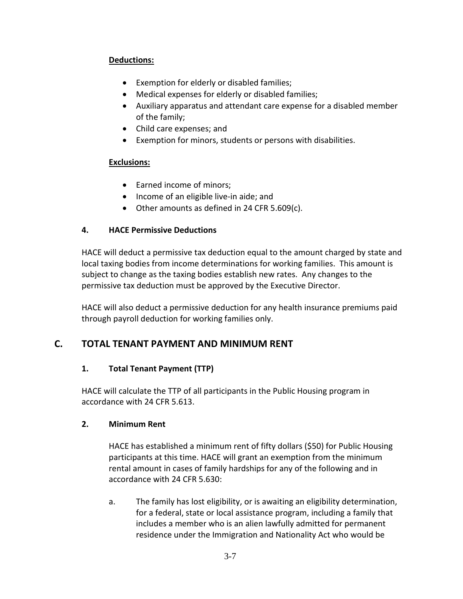### **Deductions:**

- Exemption for elderly or disabled families;
- Medical expenses for elderly or disabled families;
- Auxiliary apparatus and attendant care expense for a disabled member of the family;
- Child care expenses; and
- Exemption for minors, students or persons with disabilities.

#### **Exclusions:**

- Earned income of minors;
- Income of an eligible live-in aide; and
- Other amounts as defined in 24 CFR 5.609(c).

#### **4. HACE Permissive Deductions**

HACE will deduct a permissive tax deduction equal to the amount charged by state and local taxing bodies from income determinations for working families. This amount is subject to change as the taxing bodies establish new rates. Any changes to the permissive tax deduction must be approved by the Executive Director.

HACE will also deduct a permissive deduction for any health insurance premiums paid through payroll deduction for working families only.

### **C. TOTAL TENANT PAYMENT AND MINIMUM RENT**

#### **1. Total Tenant Payment (TTP)**

HACE will calculate the TTP of all participants in the Public Housing program in accordance with 24 CFR 5.613.

#### **2. Minimum Rent**

HACE has established a minimum rent of fifty dollars (\$50) for Public Housing participants at this time. HACE will grant an exemption from the minimum rental amount in cases of family hardships for any of the following and in accordance with 24 CFR 5.630:

a. The family has lost eligibility, or is awaiting an eligibility determination, for a federal, state or local assistance program, including a family that includes a member who is an alien lawfully admitted for permanent residence under the Immigration and Nationality Act who would be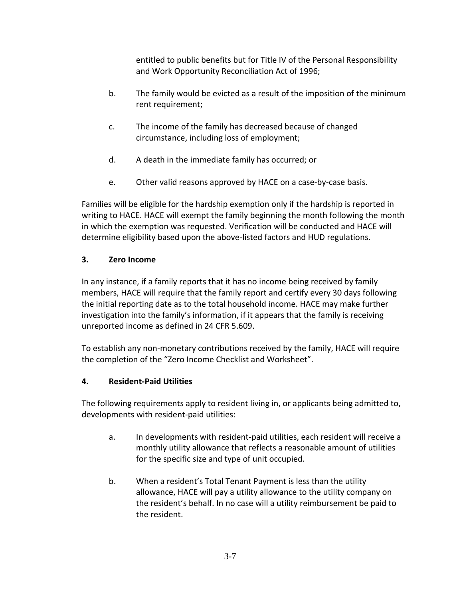entitled to public benefits but for Title IV of the Personal Responsibility and Work Opportunity Reconciliation Act of 1996;

- b. The family would be evicted as a result of the imposition of the minimum rent requirement;
- c. The income of the family has decreased because of changed circumstance, including loss of employment;
- d. A death in the immediate family has occurred; or
- e. Other valid reasons approved by HACE on a case-by-case basis.

Families will be eligible for the hardship exemption only if the hardship is reported in writing to HACE. HACE will exempt the family beginning the month following the month in which the exemption was requested. Verification will be conducted and HACE will determine eligibility based upon the above-listed factors and HUD regulations.

#### **3. Zero Income**

In any instance, if a family reports that it has no income being received by family members, HACE will require that the family report and certify every 30 days following the initial reporting date as to the total household income. HACE may make further investigation into the family's information, if it appears that the family is receiving unreported income as defined in 24 CFR 5.609.

To establish any non-monetary contributions received by the family, HACE will require the completion of the "Zero Income Checklist and Worksheet".

#### **4. Resident-Paid Utilities**

The following requirements apply to resident living in, or applicants being admitted to, developments with resident-paid utilities:

- a. In developments with resident-paid utilities, each resident will receive a monthly utility allowance that reflects a reasonable amount of utilities for the specific size and type of unit occupied.
- b. When a resident's Total Tenant Payment is less than the utility allowance, HACE will pay a utility allowance to the utility company on the resident's behalf. In no case will a utility reimbursement be paid to the resident.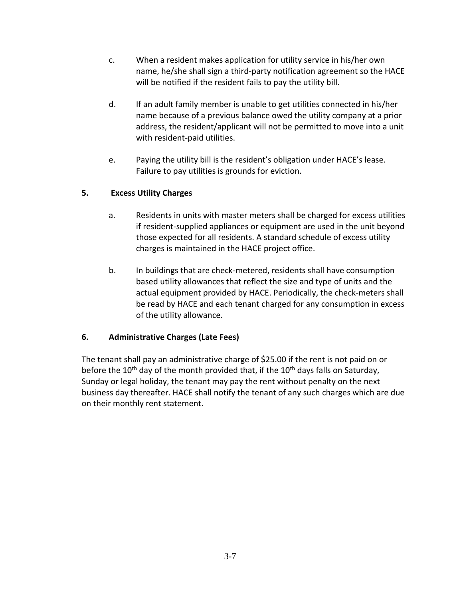- c. When a resident makes application for utility service in his/her own name, he/she shall sign a third-party notification agreement so the HACE will be notified if the resident fails to pay the utility bill.
- d. If an adult family member is unable to get utilities connected in his/her name because of a previous balance owed the utility company at a prior address, the resident/applicant will not be permitted to move into a unit with resident-paid utilities.
- e. Paying the utility bill is the resident's obligation under HACE's lease. Failure to pay utilities is grounds for eviction.

#### **5. Excess Utility Charges**

- a. Residents in units with master meters shall be charged for excess utilities if resident-supplied appliances or equipment are used in the unit beyond those expected for all residents. A standard schedule of excess utility charges is maintained in the HACE project office.
- b. In buildings that are check-metered, residents shall have consumption based utility allowances that reflect the size and type of units and the actual equipment provided by HACE. Periodically, the check-meters shall be read by HACE and each tenant charged for any consumption in excess of the utility allowance.

#### **6. Administrative Charges (Late Fees)**

The tenant shall pay an administrative charge of \$25.00 if the rent is not paid on or before the  $10^{th}$  day of the month provided that, if the  $10^{th}$  days falls on Saturday, Sunday or legal holiday, the tenant may pay the rent without penalty on the next business day thereafter. HACE shall notify the tenant of any such charges which are due on their monthly rent statement.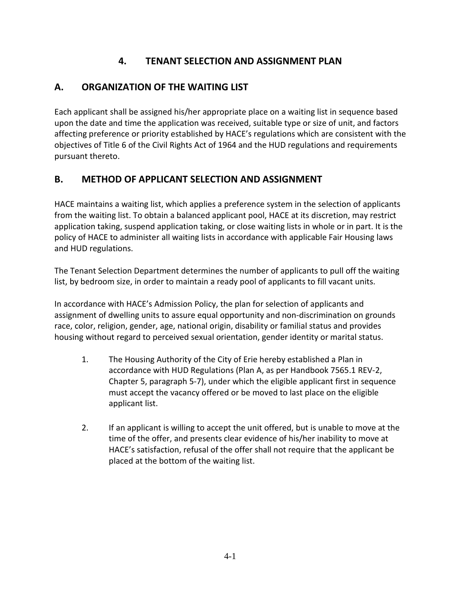# **4. TENANT SELECTION AND ASSIGNMENT PLAN**

# **A. ORGANIZATION OF THE WAITING LIST**

Each applicant shall be assigned his/her appropriate place on a waiting list in sequence based upon the date and time the application was received, suitable type or size of unit, and factors affecting preference or priority established by HACE's regulations which are consistent with the objectives of Title 6 of the Civil Rights Act of 1964 and the HUD regulations and requirements pursuant thereto.

### **B. METHOD OF APPLICANT SELECTION AND ASSIGNMENT**

HACE maintains a waiting list, which applies a preference system in the selection of applicants from the waiting list. To obtain a balanced applicant pool, HACE at its discretion, may restrict application taking, suspend application taking, or close waiting lists in whole or in part. It is the policy of HACE to administer all waiting lists in accordance with applicable Fair Housing laws and HUD regulations.

The Tenant Selection Department determines the number of applicants to pull off the waiting list, by bedroom size, in order to maintain a ready pool of applicants to fill vacant units.

In accordance with HACE's Admission Policy, the plan for selection of applicants and assignment of dwelling units to assure equal opportunity and non-discrimination on grounds race, color, religion, gender, age, national origin, disability or familial status and provides housing without regard to perceived sexual orientation, gender identity or marital status.

- 1. The Housing Authority of the City of Erie hereby established a Plan in accordance with HUD Regulations (Plan A, as per Handbook 7565.1 REV-2, Chapter 5, paragraph 5-7), under which the eligible applicant first in sequence must accept the vacancy offered or be moved to last place on the eligible applicant list.
- 2. If an applicant is willing to accept the unit offered, but is unable to move at the time of the offer, and presents clear evidence of his/her inability to move at HACE's satisfaction, refusal of the offer shall not require that the applicant be placed at the bottom of the waiting list.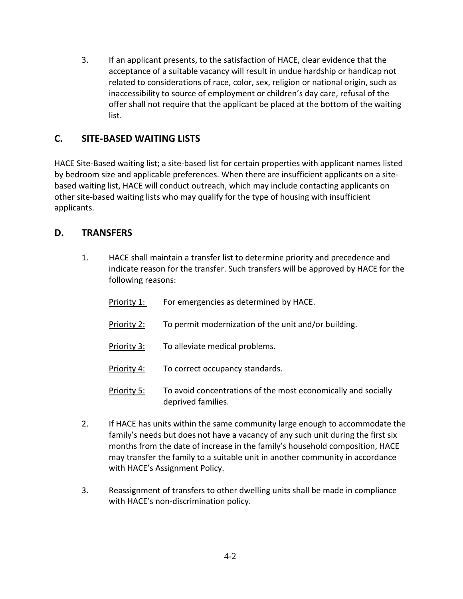3. If an applicant presents, to the satisfaction of HACE, clear evidence that the acceptance of a suitable vacancy will result in undue hardship or handicap not related to considerations of race, color, sex, religion or national origin, such as inaccessibility to source of employment or children's day care, refusal of the offer shall not require that the applicant be placed at the bottom of the waiting list.

# **C. SITE-BASED WAITING LISTS**

HACE Site-Based waiting list; a site-based list for certain properties with applicant names listed by bedroom size and applicable preferences. When there are insufficient applicants on a sitebased waiting list, HACE will conduct outreach, which may include contacting applicants on other site-based waiting lists who may qualify for the type of housing with insufficient applicants.

### **D. TRANSFERS**

1. HACE shall maintain a transfer list to determine priority and precedence and indicate reason for the transfer. Such transfers will be approved by HACE for the following reasons:

| Priority 1: | For emergencies as determined by HACE.                                              |
|-------------|-------------------------------------------------------------------------------------|
| Priority 2: | To permit modernization of the unit and/or building.                                |
| Priority 3: | To alleviate medical problems.                                                      |
| Priority 4: | To correct occupancy standards.                                                     |
| Priority 5: | To avoid concentrations of the most economically and socially<br>deprived families. |

- 2. If HACE has units within the same community large enough to accommodate the family's needs but does not have a vacancy of any such unit during the first six months from the date of increase in the family's household composition, HACE may transfer the family to a suitable unit in another community in accordance with HACE's Assignment Policy.
- 3. Reassignment of transfers to other dwelling units shall be made in compliance with HACE's non-discrimination policy.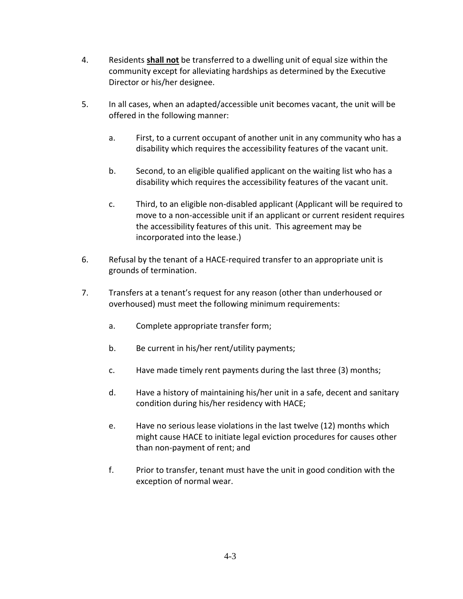- 4. Residents **shall not** be transferred to a dwelling unit of equal size within the community except for alleviating hardships as determined by the Executive Director or his/her designee.
- 5. In all cases, when an adapted/accessible unit becomes vacant, the unit will be offered in the following manner:
	- a. First, to a current occupant of another unit in any community who has a disability which requires the accessibility features of the vacant unit.
	- b. Second, to an eligible qualified applicant on the waiting list who has a disability which requires the accessibility features of the vacant unit.
	- c. Third, to an eligible non-disabled applicant (Applicant will be required to move to a non-accessible unit if an applicant or current resident requires the accessibility features of this unit. This agreement may be incorporated into the lease.)
- 6. Refusal by the tenant of a HACE-required transfer to an appropriate unit is grounds of termination.
- 7. Transfers at a tenant's request for any reason (other than underhoused or overhoused) must meet the following minimum requirements:
	- a. Complete appropriate transfer form;
	- b. Be current in his/her rent/utility payments;
	- c. Have made timely rent payments during the last three (3) months;
	- d. Have a history of maintaining his/her unit in a safe, decent and sanitary condition during his/her residency with HACE;
	- e. Have no serious lease violations in the last twelve (12) months which might cause HACE to initiate legal eviction procedures for causes other than non-payment of rent; and
	- f. Prior to transfer, tenant must have the unit in good condition with the exception of normal wear.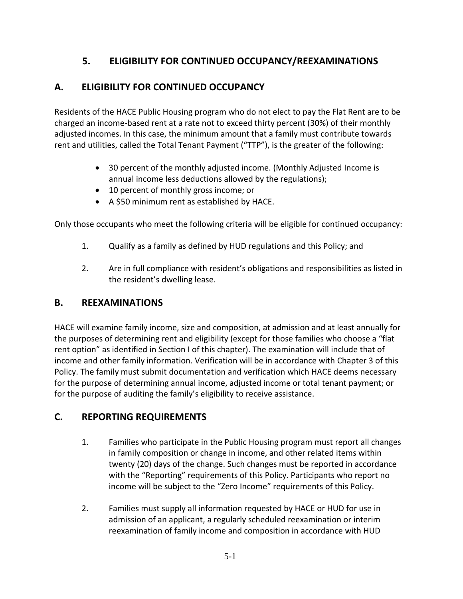# **5. ELIGIBILITY FOR CONTINUED OCCUPANCY/REEXAMINATIONS**

# **A. ELIGIBILITY FOR CONTINUED OCCUPANCY**

Residents of the HACE Public Housing program who do not elect to pay the Flat Rent are to be charged an income-based rent at a rate not to exceed thirty percent (30%) of their monthly adjusted incomes. In this case, the minimum amount that a family must contribute towards rent and utilities, called the Total Tenant Payment ("TTP"), is the greater of the following:

- 30 percent of the monthly adjusted income. (Monthly Adjusted Income is annual income less deductions allowed by the regulations);
- 10 percent of monthly gross income; or
- A \$50 minimum rent as established by HACE.

Only those occupants who meet the following criteria will be eligible for continued occupancy:

- 1. Qualify as a family as defined by HUD regulations and this Policy; and
- 2. Are in full compliance with resident's obligations and responsibilities as listed in the resident's dwelling lease.

### **B. REEXAMINATIONS**

HACE will examine family income, size and composition, at admission and at least annually for the purposes of determining rent and eligibility (except for those families who choose a "flat rent option" as identified in Section I of this chapter). The examination will include that of income and other family information. Verification will be in accordance with Chapter 3 of this Policy. The family must submit documentation and verification which HACE deems necessary for the purpose of determining annual income, adjusted income or total tenant payment; or for the purpose of auditing the family's eligibility to receive assistance.

### **C. REPORTING REQUIREMENTS**

- 1. Families who participate in the Public Housing program must report all changes in family composition or change in income, and other related items within twenty (20) days of the change. Such changes must be reported in accordance with the "Reporting" requirements of this Policy. Participants who report no income will be subject to the "Zero Income" requirements of this Policy.
- 2. Families must supply all information requested by HACE or HUD for use in admission of an applicant, a regularly scheduled reexamination or interim reexamination of family income and composition in accordance with HUD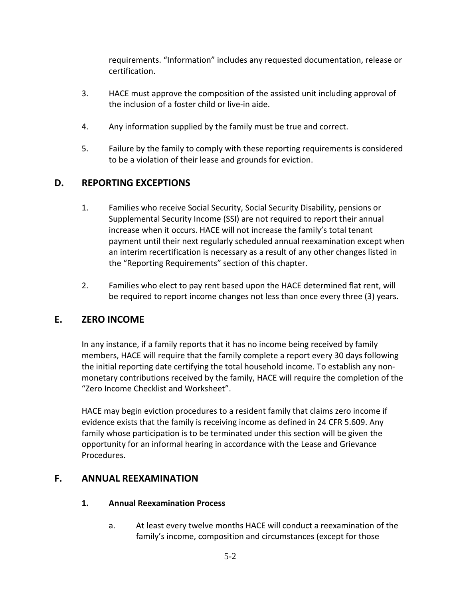requirements. "Information" includes any requested documentation, release or certification.

- 3. HACE must approve the composition of the assisted unit including approval of the inclusion of a foster child or live-in aide.
- 4. Any information supplied by the family must be true and correct.
- 5. Failure by the family to comply with these reporting requirements is considered to be a violation of their lease and grounds for eviction.

# **D. REPORTING EXCEPTIONS**

- 1. Families who receive Social Security, Social Security Disability, pensions or Supplemental Security Income (SSI) are not required to report their annual increase when it occurs. HACE will not increase the family's total tenant payment until their next regularly scheduled annual reexamination except when an interim recertification is necessary as a result of any other changes listed in the "Reporting Requirements" section of this chapter.
- 2. Families who elect to pay rent based upon the HACE determined flat rent, will be required to report income changes not less than once every three (3) years.

### **E. ZERO INCOME**

In any instance, if a family reports that it has no income being received by family members, HACE will require that the family complete a report every 30 days following the initial reporting date certifying the total household income. To establish any nonmonetary contributions received by the family, HACE will require the completion of the "Zero Income Checklist and Worksheet".

HACE may begin eviction procedures to a resident family that claims zero income if evidence exists that the family is receiving income as defined in 24 CFR 5.609. Any family whose participation is to be terminated under this section will be given the opportunity for an informal hearing in accordance with the Lease and Grievance Procedures.

### **F. ANNUAL REEXAMINATION**

#### **1. Annual Reexamination Process**

a. At least every twelve months HACE will conduct a reexamination of the family's income, composition and circumstances (except for those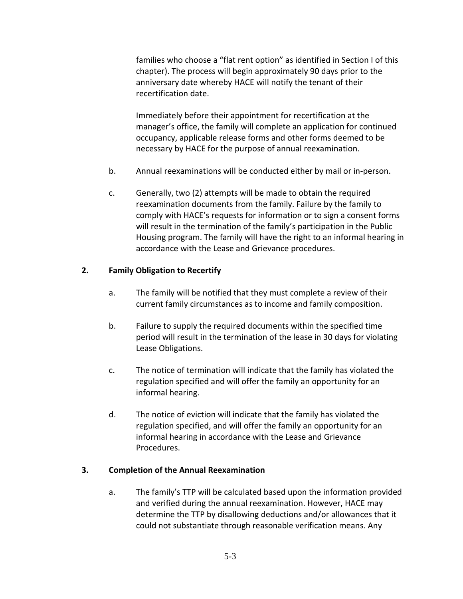families who choose a "flat rent option" as identified in Section I of this chapter). The process will begin approximately 90 days prior to the anniversary date whereby HACE will notify the tenant of their recertification date.

Immediately before their appointment for recertification at the manager's office, the family will complete an application for continued occupancy, applicable release forms and other forms deemed to be necessary by HACE for the purpose of annual reexamination.

- b. Annual reexaminations will be conducted either by mail or in-person.
- c. Generally, two (2) attempts will be made to obtain the required reexamination documents from the family. Failure by the family to comply with HACE's requests for information or to sign a consent forms will result in the termination of the family's participation in the Public Housing program. The family will have the right to an informal hearing in accordance with the Lease and Grievance procedures.

#### **2. Family Obligation to Recertify**

- a. The family will be notified that they must complete a review of their current family circumstances as to income and family composition.
- b. Failure to supply the required documents within the specified time period will result in the termination of the lease in 30 days for violating Lease Obligations.
- c. The notice of termination will indicate that the family has violated the regulation specified and will offer the family an opportunity for an informal hearing.
- d. The notice of eviction will indicate that the family has violated the regulation specified, and will offer the family an opportunity for an informal hearing in accordance with the Lease and Grievance Procedures.

#### **3. Completion of the Annual Reexamination**

a. The family's TTP will be calculated based upon the information provided and verified during the annual reexamination. However, HACE may determine the TTP by disallowing deductions and/or allowances that it could not substantiate through reasonable verification means. Any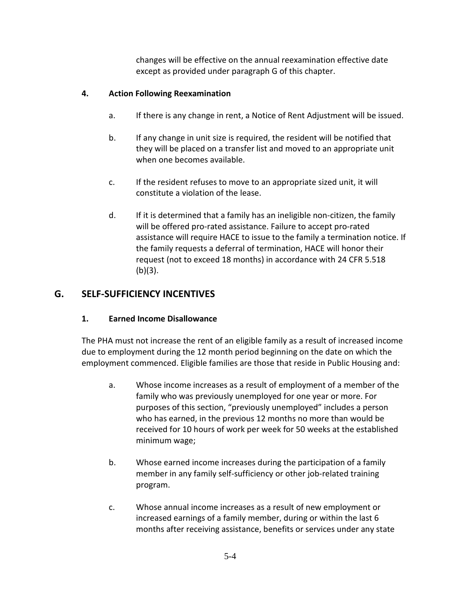changes will be effective on the annual reexamination effective date except as provided under paragraph G of this chapter.

### **4. Action Following Reexamination**

- a. If there is any change in rent, a Notice of Rent Adjustment will be issued.
- b. If any change in unit size is required, the resident will be notified that they will be placed on a transfer list and moved to an appropriate unit when one becomes available.
- c. If the resident refuses to move to an appropriate sized unit, it will constitute a violation of the lease.
- d. If it is determined that a family has an ineligible non-citizen, the family will be offered pro-rated assistance. Failure to accept pro-rated assistance will require HACE to issue to the family a termination notice. If the family requests a deferral of termination, HACE will honor their request (not to exceed 18 months) in accordance with 24 CFR 5.518 (b)(3).

### **G. SELF-SUFFICIENCY INCENTIVES**

### **1. Earned Income Disallowance**

The PHA must not increase the rent of an eligible family as a result of increased income due to employment during the 12 month period beginning on the date on which the employment commenced. Eligible families are those that reside in Public Housing and:

- a. Whose income increases as a result of employment of a member of the family who was previously unemployed for one year or more. For purposes of this section, "previously unemployed" includes a person who has earned, in the previous 12 months no more than would be received for 10 hours of work per week for 50 weeks at the established minimum wage;
- b. Whose earned income increases during the participation of a family member in any family self-sufficiency or other job-related training program.
- c. Whose annual income increases as a result of new employment or increased earnings of a family member, during or within the last 6 months after receiving assistance, benefits or services under any state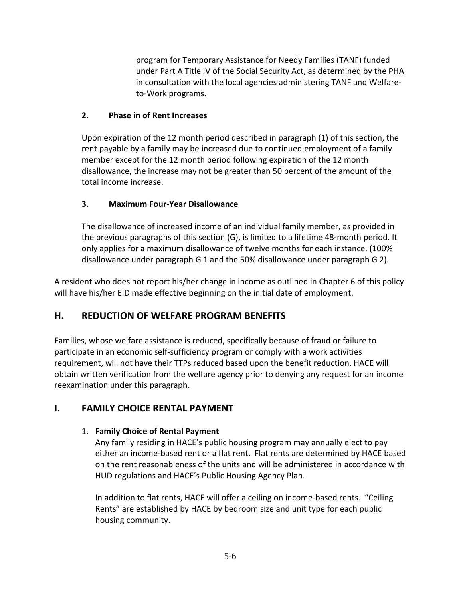program for Temporary Assistance for Needy Families (TANF) funded under Part A Title IV of the Social Security Act, as determined by the PHA in consultation with the local agencies administering TANF and Welfareto-Work programs.

#### **2. Phase in of Rent Increases**

Upon expiration of the 12 month period described in paragraph (1) of this section, the rent payable by a family may be increased due to continued employment of a family member except for the 12 month period following expiration of the 12 month disallowance, the increase may not be greater than 50 percent of the amount of the total income increase.

### **3. Maximum Four-Year Disallowance**

The disallowance of increased income of an individual family member, as provided in the previous paragraphs of this section (G), is limited to a lifetime 48-month period. It only applies for a maximum disallowance of twelve months for each instance. (100% disallowance under paragraph G 1 and the 50% disallowance under paragraph G 2).

A resident who does not report his/her change in income as outlined in Chapter 6 of this policy will have his/her EID made effective beginning on the initial date of employment.

# **H. REDUCTION OF WELFARE PROGRAM BENEFITS**

Families, whose welfare assistance is reduced, specifically because of fraud or failure to participate in an economic self-sufficiency program or comply with a work activities requirement, will not have their TTPs reduced based upon the benefit reduction. HACE will obtain written verification from the welfare agency prior to denying any request for an income reexamination under this paragraph.

# **I. FAMILY CHOICE RENTAL PAYMENT**

### 1. **Family Choice of Rental Payment**

Any family residing in HACE's public housing program may annually elect to pay either an income-based rent or a flat rent. Flat rents are determined by HACE based on the rent reasonableness of the units and will be administered in accordance with HUD regulations and HACE's Public Housing Agency Plan.

In addition to flat rents, HACE will offer a ceiling on income-based rents. "Ceiling Rents" are established by HACE by bedroom size and unit type for each public housing community.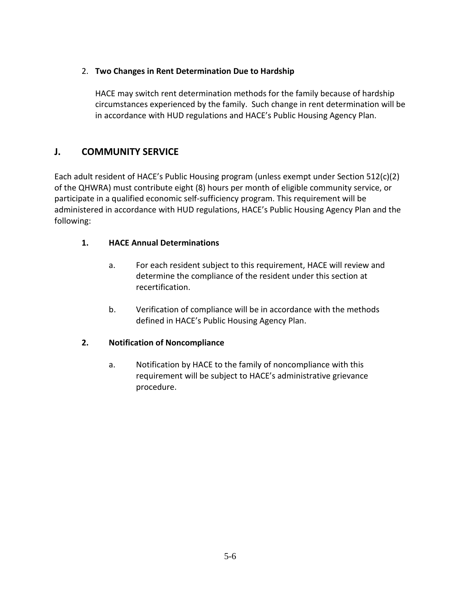### 2. **Two Changes in Rent Determination Due to Hardship**

HACE may switch rent determination methods for the family because of hardship circumstances experienced by the family. Such change in rent determination will be in accordance with HUD regulations and HACE's Public Housing Agency Plan.

### **J. COMMUNITY SERVICE**

Each adult resident of HACE's Public Housing program (unless exempt under Section 512(c)(2) of the QHWRA) must contribute eight (8) hours per month of eligible community service, or participate in a qualified economic self-sufficiency program. This requirement will be administered in accordance with HUD regulations, HACE's Public Housing Agency Plan and the following:

#### **1. HACE Annual Determinations**

- a. For each resident subject to this requirement, HACE will review and determine the compliance of the resident under this section at recertification.
- b. Verification of compliance will be in accordance with the methods defined in HACE's Public Housing Agency Plan.

#### **2. Notification of Noncompliance**

a. Notification by HACE to the family of noncompliance with this requirement will be subject to HACE's administrative grievance procedure.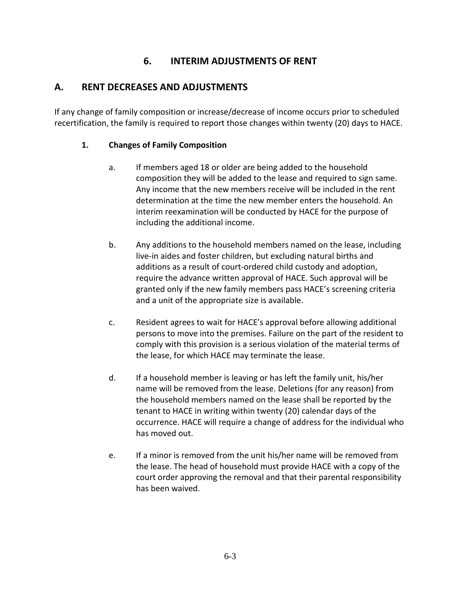# **6. INTERIM ADJUSTMENTS OF RENT**

### **A. RENT DECREASES AND ADJUSTMENTS**

If any change of family composition or increase/decrease of income occurs prior to scheduled recertification, the family is required to report those changes within twenty (20) days to HACE.

#### **1. Changes of Family Composition**

- a. If members aged 18 or older are being added to the household composition they will be added to the lease and required to sign same. Any income that the new members receive will be included in the rent determination at the time the new member enters the household. An interim reexamination will be conducted by HACE for the purpose of including the additional income.
- b. Any additions to the household members named on the lease, including live-in aides and foster children, but excluding natural births and additions as a result of court-ordered child custody and adoption, require the advance written approval of HACE. Such approval will be granted only if the new family members pass HACE's screening criteria and a unit of the appropriate size is available.
- c. Resident agrees to wait for HACE's approval before allowing additional persons to move into the premises. Failure on the part of the resident to comply with this provision is a serious violation of the material terms of the lease, for which HACE may terminate the lease.
- d. If a household member is leaving or has left the family unit, his/her name will be removed from the lease. Deletions (for any reason) from the household members named on the lease shall be reported by the tenant to HACE in writing within twenty (20) calendar days of the occurrence. HACE will require a change of address for the individual who has moved out.
- e. If a minor is removed from the unit his/her name will be removed from the lease. The head of household must provide HACE with a copy of the court order approving the removal and that their parental responsibility has been waived.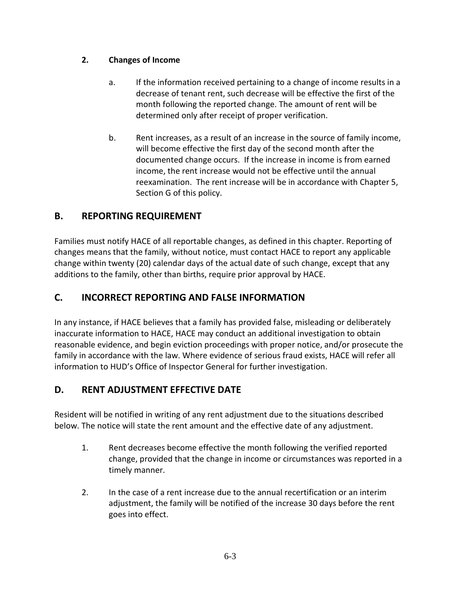### **2. Changes of Income**

- a. If the information received pertaining to a change of income results in a decrease of tenant rent, such decrease will be effective the first of the month following the reported change. The amount of rent will be determined only after receipt of proper verification.
- b. Rent increases, as a result of an increase in the source of family income, will become effective the first day of the second month after the documented change occurs. If the increase in income is from earned income, the rent increase would not be effective until the annual reexamination. The rent increase will be in accordance with Chapter 5, Section G of this policy.

# **B. REPORTING REQUIREMENT**

Families must notify HACE of all reportable changes, as defined in this chapter. Reporting of changes means that the family, without notice, must contact HACE to report any applicable change within twenty (20) calendar days of the actual date of such change, except that any additions to the family, other than births, require prior approval by HACE.

# **C. INCORRECT REPORTING AND FALSE INFORMATION**

In any instance, if HACE believes that a family has provided false, misleading or deliberately inaccurate information to HACE, HACE may conduct an additional investigation to obtain reasonable evidence, and begin eviction proceedings with proper notice, and/or prosecute the family in accordance with the law. Where evidence of serious fraud exists, HACE will refer all information to HUD's Office of Inspector General for further investigation.

# **D. RENT ADJUSTMENT EFFECTIVE DATE**

Resident will be notified in writing of any rent adjustment due to the situations described below. The notice will state the rent amount and the effective date of any adjustment.

- 1. Rent decreases become effective the month following the verified reported change, provided that the change in income or circumstances was reported in a timely manner.
- 2. In the case of a rent increase due to the annual recertification or an interim adjustment, the family will be notified of the increase 30 days before the rent goes into effect.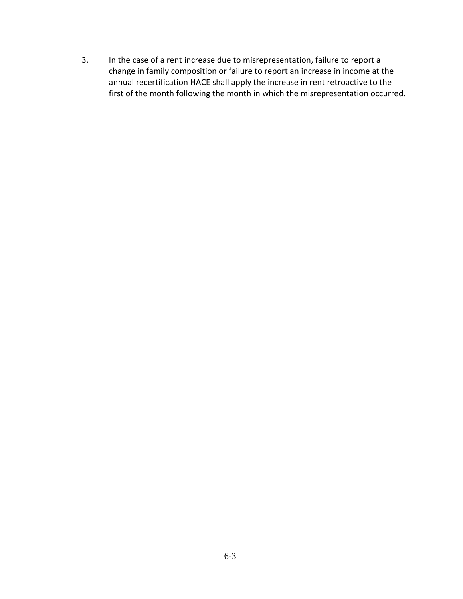3. In the case of a rent increase due to misrepresentation, failure to report a change in family composition or failure to report an increase in income at the annual recertification HACE shall apply the increase in rent retroactive to the first of the month following the month in which the misrepresentation occurred.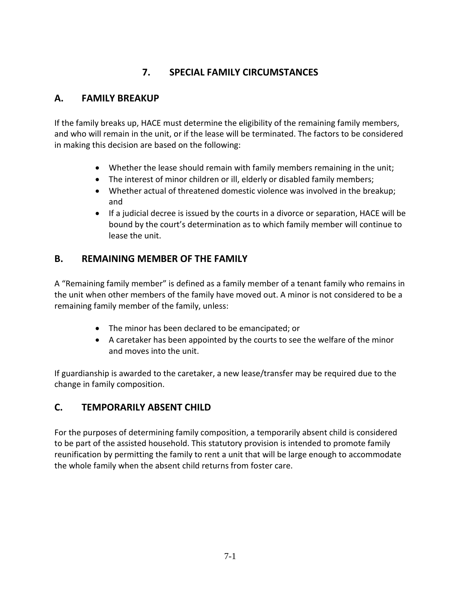# **7. SPECIAL FAMILY CIRCUMSTANCES**

# **A. FAMILY BREAKUP**

If the family breaks up, HACE must determine the eligibility of the remaining family members, and who will remain in the unit, or if the lease will be terminated. The factors to be considered in making this decision are based on the following:

- Whether the lease should remain with family members remaining in the unit;
- The interest of minor children or ill, elderly or disabled family members;
- Whether actual of threatened domestic violence was involved in the breakup; and
- If a judicial decree is issued by the courts in a divorce or separation, HACE will be bound by the court's determination as to which family member will continue to lease the unit.

# **B. REMAINING MEMBER OF THE FAMILY**

A "Remaining family member" is defined as a family member of a tenant family who remains in the unit when other members of the family have moved out. A minor is not considered to be a remaining family member of the family, unless:

- The minor has been declared to be emancipated; or
- A caretaker has been appointed by the courts to see the welfare of the minor and moves into the unit.

If guardianship is awarded to the caretaker, a new lease/transfer may be required due to the change in family composition.

# **C. TEMPORARILY ABSENT CHILD**

For the purposes of determining family composition, a temporarily absent child is considered to be part of the assisted household. This statutory provision is intended to promote family reunification by permitting the family to rent a unit that will be large enough to accommodate the whole family when the absent child returns from foster care.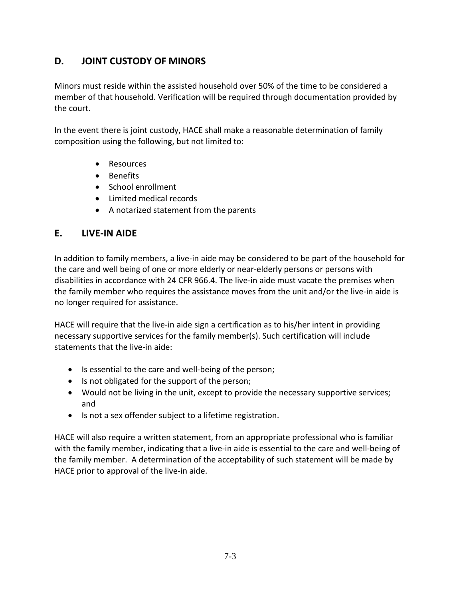# **D. JOINT CUSTODY OF MINORS**

Minors must reside within the assisted household over 50% of the time to be considered a member of that household. Verification will be required through documentation provided by the court.

In the event there is joint custody, HACE shall make a reasonable determination of family composition using the following, but not limited to:

- Resources
- Benefits
- School enrollment
- Limited medical records
- A notarized statement from the parents

### **E. LIVE-IN AIDE**

In addition to family members, a live-in aide may be considered to be part of the household for the care and well being of one or more elderly or near-elderly persons or persons with disabilities in accordance with 24 CFR 966.4. The live-in aide must vacate the premises when the family member who requires the assistance moves from the unit and/or the live-in aide is no longer required for assistance.

HACE will require that the live-in aide sign a certification as to his/her intent in providing necessary supportive services for the family member(s). Such certification will include statements that the live-in aide:

- Is essential to the care and well-being of the person;
- Is not obligated for the support of the person;
- Would not be living in the unit, except to provide the necessary supportive services; and
- Is not a sex offender subject to a lifetime registration.

HACE will also require a written statement, from an appropriate professional who is familiar with the family member, indicating that a live-in aide is essential to the care and well-being of the family member. A determination of the acceptability of such statement will be made by HACE prior to approval of the live-in aide.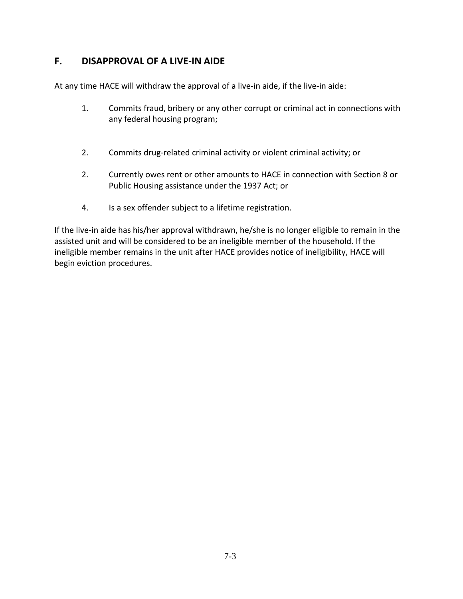### **F. DISAPPROVAL OF A LIVE-IN AIDE**

At any time HACE will withdraw the approval of a live-in aide, if the live-in aide:

- 1. Commits fraud, bribery or any other corrupt or criminal act in connections with any federal housing program;
- 2. Commits drug-related criminal activity or violent criminal activity; or
- 2. Currently owes rent or other amounts to HACE in connection with Section 8 or Public Housing assistance under the 1937 Act; or
- 4. Is a sex offender subject to a lifetime registration.

If the live-in aide has his/her approval withdrawn, he/she is no longer eligible to remain in the assisted unit and will be considered to be an ineligible member of the household. If the ineligible member remains in the unit after HACE provides notice of ineligibility, HACE will begin eviction procedures.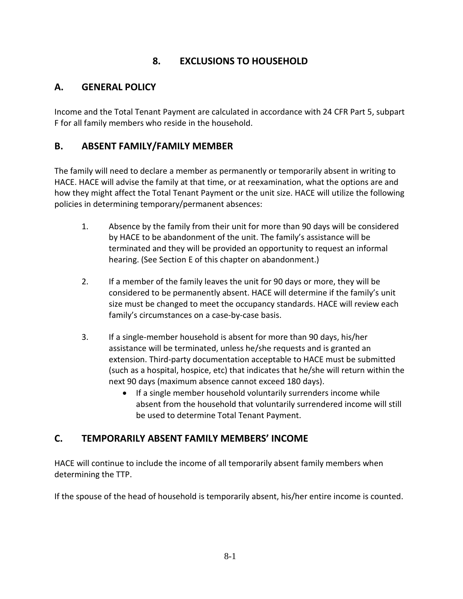# **8. EXCLUSIONS TO HOUSEHOLD**

### **A. GENERAL POLICY**

Income and the Total Tenant Payment are calculated in accordance with 24 CFR Part 5, subpart F for all family members who reside in the household.

### **B. ABSENT FAMILY/FAMILY MEMBER**

The family will need to declare a member as permanently or temporarily absent in writing to HACE. HACE will advise the family at that time, or at reexamination, what the options are and how they might affect the Total Tenant Payment or the unit size. HACE will utilize the following policies in determining temporary/permanent absences:

- 1. Absence by the family from their unit for more than 90 days will be considered by HACE to be abandonment of the unit. The family's assistance will be terminated and they will be provided an opportunity to request an informal hearing. (See Section E of this chapter on abandonment.)
- 2. If a member of the family leaves the unit for 90 days or more, they will be considered to be permanently absent. HACE will determine if the family's unit size must be changed to meet the occupancy standards. HACE will review each family's circumstances on a case-by-case basis.
- 3. If a single-member household is absent for more than 90 days, his/her assistance will be terminated, unless he/she requests and is granted an extension. Third-party documentation acceptable to HACE must be submitted (such as a hospital, hospice, etc) that indicates that he/she will return within the next 90 days (maximum absence cannot exceed 180 days).
	- If a single member household voluntarily surrenders income while absent from the household that voluntarily surrendered income will still be used to determine Total Tenant Payment.

### **C. TEMPORARILY ABSENT FAMILY MEMBERS' INCOME**

HACE will continue to include the income of all temporarily absent family members when determining the TTP.

If the spouse of the head of household is temporarily absent, his/her entire income is counted.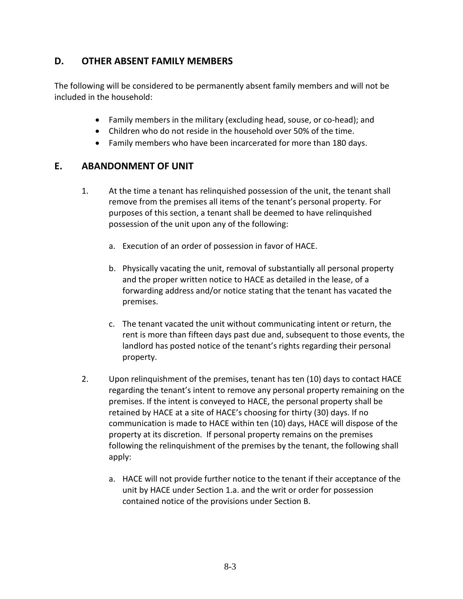### **D. OTHER ABSENT FAMILY MEMBERS**

The following will be considered to be permanently absent family members and will not be included in the household:

- Family members in the military (excluding head, souse, or co-head); and
- Children who do not reside in the household over 50% of the time.
- Family members who have been incarcerated for more than 180 days.

### **E. ABANDONMENT OF UNIT**

- 1. At the time a tenant has relinquished possession of the unit, the tenant shall remove from the premises all items of the tenant's personal property. For purposes of this section, a tenant shall be deemed to have relinquished possession of the unit upon any of the following:
	- a. Execution of an order of possession in favor of HACE.
	- b. Physically vacating the unit, removal of substantially all personal property and the proper written notice to HACE as detailed in the lease, of a forwarding address and/or notice stating that the tenant has vacated the premises.
	- c. The tenant vacated the unit without communicating intent or return, the rent is more than fifteen days past due and, subsequent to those events, the landlord has posted notice of the tenant's rights regarding their personal property.
- 2. Upon relinquishment of the premises, tenant has ten (10) days to contact HACE regarding the tenant's intent to remove any personal property remaining on the premises. If the intent is conveyed to HACE, the personal property shall be retained by HACE at a site of HACE's choosing for thirty (30) days. If no communication is made to HACE within ten (10) days, HACE will dispose of the property at its discretion. If personal property remains on the premises following the relinquishment of the premises by the tenant, the following shall apply:
	- a. HACE will not provide further notice to the tenant if their acceptance of the unit by HACE under Section 1.a. and the writ or order for possession contained notice of the provisions under Section B.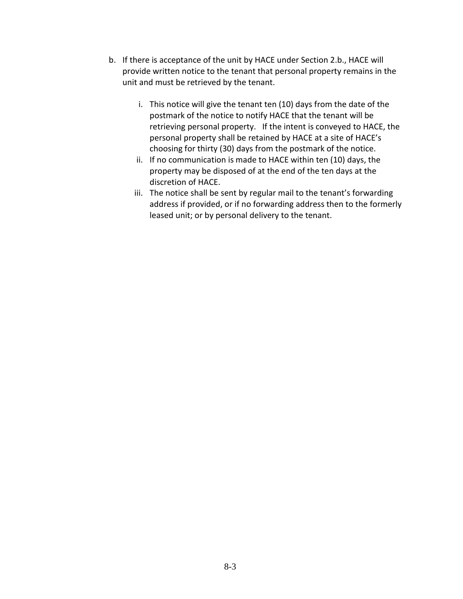- b. If there is acceptance of the unit by HACE under Section 2.b., HACE will provide written notice to the tenant that personal property remains in the unit and must be retrieved by the tenant.
	- i. This notice will give the tenant ten (10) days from the date of the postmark of the notice to notify HACE that the tenant will be retrieving personal property. If the intent is conveyed to HACE, the personal property shall be retained by HACE at a site of HACE's choosing for thirty (30) days from the postmark of the notice.
	- ii. If no communication is made to HACE within ten (10) days, the property may be disposed of at the end of the ten days at the discretion of HACE.
	- iii. The notice shall be sent by regular mail to the tenant's forwarding address if provided, or if no forwarding address then to the formerly leased unit; or by personal delivery to the tenant.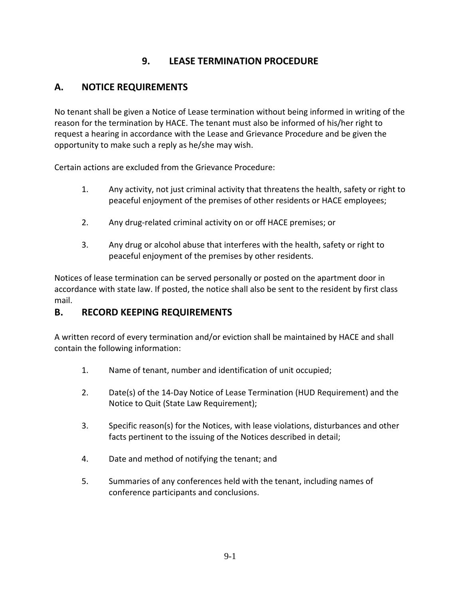# **9. LEASE TERMINATION PROCEDURE**

# **A. NOTICE REQUIREMENTS**

No tenant shall be given a Notice of Lease termination without being informed in writing of the reason for the termination by HACE. The tenant must also be informed of his/her right to request a hearing in accordance with the Lease and Grievance Procedure and be given the opportunity to make such a reply as he/she may wish.

Certain actions are excluded from the Grievance Procedure:

- 1. Any activity, not just criminal activity that threatens the health, safety or right to peaceful enjoyment of the premises of other residents or HACE employees;
- 2. Any drug-related criminal activity on or off HACE premises; or
- 3. Any drug or alcohol abuse that interferes with the health, safety or right to peaceful enjoyment of the premises by other residents.

Notices of lease termination can be served personally or posted on the apartment door in accordance with state law. If posted, the notice shall also be sent to the resident by first class mail.

### **B. RECORD KEEPING REQUIREMENTS**

A written record of every termination and/or eviction shall be maintained by HACE and shall contain the following information:

- 1. Name of tenant, number and identification of unit occupied;
- 2. Date(s) of the 14-Day Notice of Lease Termination (HUD Requirement) and the Notice to Quit (State Law Requirement);
- 3. Specific reason(s) for the Notices, with lease violations, disturbances and other facts pertinent to the issuing of the Notices described in detail;
- 4. Date and method of notifying the tenant; and
- 5. Summaries of any conferences held with the tenant, including names of conference participants and conclusions.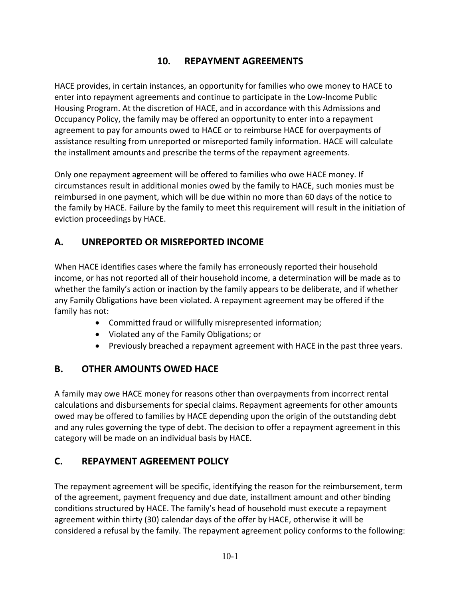# **10. REPAYMENT AGREEMENTS**

HACE provides, in certain instances, an opportunity for families who owe money to HACE to enter into repayment agreements and continue to participate in the Low-Income Public Housing Program. At the discretion of HACE, and in accordance with this Admissions and Occupancy Policy, the family may be offered an opportunity to enter into a repayment agreement to pay for amounts owed to HACE or to reimburse HACE for overpayments of assistance resulting from unreported or misreported family information. HACE will calculate the installment amounts and prescribe the terms of the repayment agreements.

Only one repayment agreement will be offered to families who owe HACE money. If circumstances result in additional monies owed by the family to HACE, such monies must be reimbursed in one payment, which will be due within no more than 60 days of the notice to the family by HACE. Failure by the family to meet this requirement will result in the initiation of eviction proceedings by HACE.

# **A. UNREPORTED OR MISREPORTED INCOME**

When HACE identifies cases where the family has erroneously reported their household income, or has not reported all of their household income, a determination will be made as to whether the family's action or inaction by the family appears to be deliberate, and if whether any Family Obligations have been violated. A repayment agreement may be offered if the family has not:

- Committed fraud or willfully misrepresented information;
- Violated any of the Family Obligations; or
- Previously breached a repayment agreement with HACE in the past three years.

# **B. OTHER AMOUNTS OWED HACE**

A family may owe HACE money for reasons other than overpayments from incorrect rental calculations and disbursements for special claims. Repayment agreements for other amounts owed may be offered to families by HACE depending upon the origin of the outstanding debt and any rules governing the type of debt. The decision to offer a repayment agreement in this category will be made on an individual basis by HACE.

# **C. REPAYMENT AGREEMENT POLICY**

The repayment agreement will be specific, identifying the reason for the reimbursement, term of the agreement, payment frequency and due date, installment amount and other binding conditions structured by HACE. The family's head of household must execute a repayment agreement within thirty (30) calendar days of the offer by HACE, otherwise it will be considered a refusal by the family. The repayment agreement policy conforms to the following: